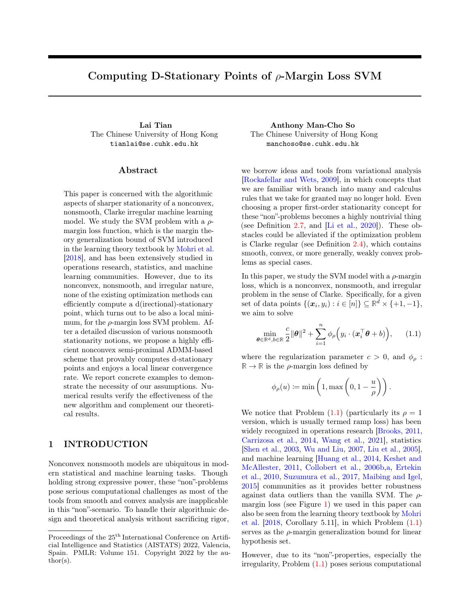# <span id="page-0-1"></span>Computing D-Stationary Points of  $\rho$ -Margin Loss SVM

The Chinese University of Hong Kong tianlai@se.cuhk.edu.hk

#### ${\rm Abstract}$

This paper is concerned with the algorithmic aspects of sharper stationarity of a nonconvex, nonsmooth, Clarke irregular machine learning model. We study the SVM problem with a  $\rho$ margin loss function, which is the margin theory generalization bound of SVM introduced in the learning theory textbook by [Mohri et al.](#page-9-0) [\[2018\]](#page-9-0), and has been extensively studied in operations research, statistics, and machine learning communities. However, due to its nonconvex, nonsmooth, and irregular nature, none of the existing optimization methods can efficiently compute a d(irectional)-stationary point, which turns out to be also a local minimum, for the  $\rho$ -margin loss SVM problem. After a detailed discussion of various nonsmooth stationarity notions, we propose a highly efficient nonconvex semi-proximal ADMM-based scheme that provably computes d-stationary points and enjoys a local linear convergence rate. We report concrete examples to demonstrate the necessity of our assumptions. Numerical results verify the effectiveness of the new algorithm and complement our theoretical results.

# 1 INTRODUCTION

Nonconvex nonsmooth models are ubiquitous in modern statistical and machine learning tasks. Though holding strong expressive power, these "non"-problems pose serious computational challenges as most of the tools from smooth and convex analysis are inapplicable in this "non"-scenario. To handle their algorithmic design and theoretical analysis without sacrificing rigor,

Lai Tian Anthony Man-Cho So The Chinese University of Hong Kong manchoso@se.cuhk.edu.hk

> we borrow ideas and tools from variational analysis [\[Rockafellar and Wets,](#page-10-0) [2009\]](#page-10-0), in which concepts that we are familiar with branch into many and calculus rules that we take for granted may no longer hold. Even choosing a proper first-order stationarity concept for these "non"-problems becomes a highly nontrivial thing (see Definition [2.7,](#page-3-0) and [\[Li et al.,](#page-9-1) [2020\]](#page-9-1)). These obstacles could be alleviated if the optimization problem is Clarke regular (see Definition  $2.4$ ), which contains smooth, convex, or more generally, weakly convex problems as special cases.

> In this paper, we study the SVM model with a  $\rho$ -margin loss, which is a nonconvex, nonsmooth, and irregular problem in the sense of Clarke. Specifically, for a given set of data points  $\{(\boldsymbol{x}_i, y_i) : i \in [n]\} \subseteq \mathbb{R}^d \times \{+1, -1\},\$ we aim to solve

<span id="page-0-0"></span>
$$
\min_{\boldsymbol{\theta} \in \mathbb{R}^d, b \in \mathbb{R}} \frac{c}{2} ||\boldsymbol{\theta}||^2 + \sum_{i=1}^n \phi_\rho \Big( y_i \cdot (\boldsymbol{x}_i^\top \boldsymbol{\theta} + b) \Big), \qquad (1.1)
$$

where the regularization parameter  $c > 0$ , and  $\phi_{\rho}$ :  $\mathbb{R} \to \mathbb{R}$  is the  $\rho$ -margin loss defined by

$$
\phi_{\rho}(u) := \min\left(1, \max\left(0, 1 - \frac{u}{\rho}\right)\right).
$$

We notice that Problem  $(1.1)$  (particularly its  $\rho = 1$ version, which is usually termed ramp loss) has been widely recognized in operations research [\[Brooks,](#page-9-2) [2011,](#page-9-2) [Carrizosa et al.,](#page-9-3) [2014,](#page-9-3) [Wang et al.,](#page-10-1) [2021\]](#page-10-1), statistics [\[Shen et al.,](#page-10-2) [2003,](#page-10-2) [Wu and Liu,](#page-10-3) [2007,](#page-10-3) [Liu et al.,](#page-9-4) [2005\]](#page-9-4), and machine learning [\[Huang et al.,](#page-9-5) [2014,](#page-9-5) [Keshet and](#page-9-6) [McAllester,](#page-9-6) [2011,](#page-9-6) [Collobert et al.,](#page-9-7) [2006b,](#page-9-7)[a,](#page-9-8) [Ertekin](#page-9-9) [et al.,](#page-9-9) [2010,](#page-9-9) [Suzumura et al.,](#page-10-4) [2017,](#page-10-4) [Maibing and Igel,](#page-9-10) [2015\]](#page-9-10) communities as it provides better robustness against data outliers than the vanilla SVM. The  $\rho$ margin loss (see Figure [1\)](#page-1-0) we used in this paper can also be seen from the learning theory textbook by [Mohri](#page-9-0) [et al.](#page-9-0) [\[2018,](#page-9-0) Corollary 5.11], in which Problem [\(1.1\)](#page-0-0) serves as the  $\rho$ -margin generalization bound for linear hypothesis set.

However, due to its "non"-properties, especially the irregularity, Problem [\(1.1\)](#page-0-0) poses serious computational

Proceedings of the  $25^{\mathrm{th}}$  International Conference on Artificial Intelligence and Statistics (AISTATS) 2022, Valencia, Spain. PMLR: Volume 151. Copyright 2022 by the au- $\text{thor}(s)$ .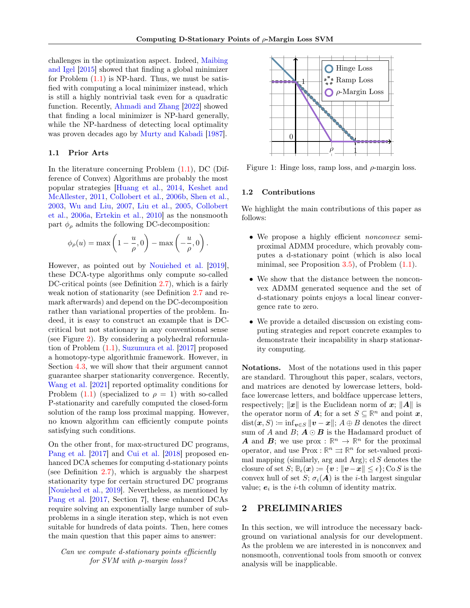challenges in the optimization aspect. Indeed, [Maibing](#page-9-10) [and Igel](#page-9-10) [\[2015\]](#page-9-10) showed that finding a global minimizer for Problem  $(1.1)$  is NP-hard. Thus, we must be satisfied with computing a local minimizer instead, which is still a highly nontrivial task even for a quadratic function. Recently, [Ahmadi and Zhang](#page-9-11) [\[2022\]](#page-9-11) showed that finding a local minimizer is NP-hard generally, while the NP-hardness of detecting local optimality was proven decades ago by [Murty and Kabadi](#page-10-5) [\[1987\]](#page-10-5).

#### 1.1 Prior Arts

In the literature concerning Problem [\(1.1\)](#page-0-0), DC (Difference of Convex) Algorithms are probably the most popular strategies [\[Huang et al.,](#page-9-5) [2014,](#page-9-5) [Keshet and](#page-9-6) [McAllester,](#page-9-6) [2011,](#page-9-6) [Collobert et al.,](#page-9-7) [2006b,](#page-9-7) [Shen et al.,](#page-10-2) [2003,](#page-10-2) [Wu and Liu,](#page-10-3) [2007,](#page-10-3) [Liu et al.,](#page-9-4) [2005,](#page-9-4) [Collobert](#page-9-8) [et al.,](#page-9-8) [2006a,](#page-9-8) [Ertekin et al.,](#page-9-9) [2010\]](#page-9-9) as the nonsmooth part  $\phi_{\rho}$  admits the following DC-decomposition:

$$
\phi_{\rho}(u) = \max\left(1 - \frac{u}{\rho}, 0\right) - \max\left(-\frac{u}{\rho}, 0\right).
$$

However, as pointed out by [Nouiehed et al.](#page-10-6) [\[2019\]](#page-10-6), these DCA-type algorithms only compute so-called DC-critical points (see Definition [2.7\)](#page-3-0), which is a fairly weak notion of stationarity (see Definition [2.7](#page-3-0) and remark afterwards) and depend on the DC-decomposition rather than variational properties of the problem. Indeed, it is easy to construct an example that is DCcritical but not stationary in any conventional sense (see Figure [2\)](#page-4-0). By considering a polyhedral reformulation of Problem [\(1.1\)](#page-0-0), [Suzumura et al.](#page-10-4) [\[2017\]](#page-10-4) proposed a homotopy-type algorithmic framework. However, in Section [4.3,](#page-6-0) we will show that their argument cannot guarantee sharper stationarity convergence. Recently, [Wang et al.](#page-10-1) [\[2021\]](#page-10-1) reported optimality conditions for Problem  $(1.1)$  (specialized to  $\rho = 1$ ) with so-called P-stationarity and carefully computed the closed-form solution of the ramp loss proximal mapping. However, no known algorithm can efficiently compute points satisfying such conditions.

On the other front, for max-structured DC programs, [Pang et al.](#page-10-7) [\[2017\]](#page-10-7) and [Cui et al.](#page-9-12) [\[2018\]](#page-9-12) proposed enhanced DCA schemes for computing d-stationary points (see Definition [2.7\)](#page-3-0), which is arguably the sharpest stationarity type for certain structured DC programs [\[Nouiehed et al.,](#page-10-6) [2019\]](#page-10-6). Nevertheless, as mentioned by [Pang et al.](#page-10-7) [\[2017,](#page-10-7) Section 7], these enhanced DCAs require solving an exponentially large number of subproblems in a single iteration step, which is not even suitable for hundreds of data points. Then, here comes the main question that this paper aims to answer:

Can we compute d-stationary points efficiently for SVM with ρ-margin loss?

<span id="page-1-0"></span>

Figure 1: Hinge loss, ramp loss, and  $\rho$ -margin loss.

#### 1.2 Contributions

We highlight the main contributions of this paper as follows:

- We propose a highly efficient *nonconvex* semiproximal ADMM procedure, which provably computes a d-stationary point (which is also local minimal, see Proposition  $3.5$ ), of Problem  $(1.1)$ .
- We show that the distance between the nonconvex ADMM generated sequence and the set of d-stationary points enjoys a local linear convergence rate to zero.
- We provide a detailed discussion on existing computing strategies and report concrete examples to demonstrate their incapability in sharp stationarity computing.

Notations. Most of the notations used in this paper are standard. Throughout this paper, scalars, vectors, and matrices are denoted by lowercase letters, boldface lowercase letters, and boldface uppercase letters, respectively;  $\|\boldsymbol{x}\|$  is the Euclidean norm of  $\boldsymbol{x}$ ;  $\|\boldsymbol{A}\|$  is the operator norm of **A**; for a set  $S \subseteq \mathbb{R}^n$  and point **x**,  $dist(x, S) \coloneqq \inf_{y \in S} ||y - x||$ ;  $A \oplus B$  denotes the direct sum of A and  $B$ ;  $A \odot B$  is the Hadamard product of **A** and **B**; we use prox :  $\mathbb{R}^n \to \mathbb{R}^n$  for the proximal operator, and use  $\text{Prox}: \mathbb{R}^n \implies \mathbb{R}^n$  for set-valued proximal mapping (similarly, arg and Arg); cl  $S$  denotes the closure of set  $S; \mathbb{B}_{\epsilon}(\boldsymbol{x}) \coloneqq \{\boldsymbol{v} : ||\boldsymbol{v}-\boldsymbol{x}|| \leq \epsilon\}; \text{Co }S \text{ is the }$ convex hull of set S;  $\sigma_i(A)$  is the *i*-th largest singular value;  $e_i$  is the *i*-th column of identity matrix.

### 2 PRELIMINARIES

In this section, we will introduce the necessary background on variational analysis for our development. As the problem we are interested in is nonconvex and nonsmooth, conventional tools from smooth or convex analysis will be inapplicable.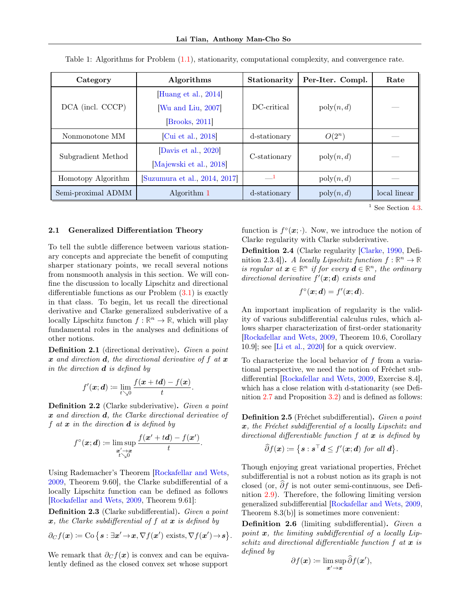| Category           | Algorithms                   | Stationarity | Per-Iter. Compl.      | Rate         |
|--------------------|------------------------------|--------------|-----------------------|--------------|
| DCA (incl. CCCP)   | Huang et al., 2014           |              | $\mathrm{poly}(n, d)$ |              |
|                    | [Wu and Liu, 2007]           | DC-critical  |                       |              |
|                    | Brooks, 2011]                |              |                       |              |
| Nonmonotone MM     | Cui et al., 2018             | d-stationary | $O(2^n)$              |              |
| Subgradient Method | [Davis et al., 2020]         | C-stationary | $\mathrm{poly}(n, d)$ |              |
|                    | Majewski et al., 2018        |              |                       |              |
| Homotopy Algorithm | Suzumura et al., 2014, 2017] | $\equiv$ 1   | $\mathrm{poly}(n, d)$ |              |
| Semi-proximal ADMM | Algorithm 1                  | d-stationary | $\mathrm{poly}(n, d)$ | local linear |

.

Table 1: Algorithms for Problem [\(1.1\)](#page-0-0), stationarity, computational complexity, and convergence rate.

 $^1$  See Section [4.3.](#page-6-0)

#### 2.1 Generalized Differentiation Theory

To tell the subtle difference between various stationary concepts and appreciate the benefit of computing sharper stationary points, we recall several notions from nonsmooth analysis in this section. We will confine the discussion to locally Lipschitz and directional differentiable functions as our Problem  $(3.1)$  is exactly in that class. To begin, let us recall the directional derivative and Clarke generalized subderivative of a locally Lipschitz functon  $f : \mathbb{R}^n \to \mathbb{R}$ , which will play fundamental roles in the analyses and definitions of other notions.

Definition 2.1 (directional derivative). Given a point  $\boldsymbol{x}$  and direction  $\boldsymbol{d}$ , the directional derivative of f at  $\boldsymbol{x}$ in the direction  $\boldsymbol{d}$  is defined by

$$
f'(\boldsymbol{x};\boldsymbol{d}) \coloneqq \lim_{t \searrow 0} \frac{f(\boldsymbol{x}+t\boldsymbol{d})-f(\boldsymbol{x})}{t}.
$$

Definition 2.2 (Clarke subderivative). Given a point x and direction d, the Clarke directional derivative of f at  $x$  in the direction  $d$  is defined by

$$
f^{\circ}(\boldsymbol{x};\boldsymbol{d}) \coloneqq \limsup_{\substack{\boldsymbol{x}' \to \boldsymbol{x} \\ t \searrow 0}} \frac{f(\boldsymbol{x}' + t\boldsymbol{d}) - f(\boldsymbol{x}')}{t}.
$$

Using Rademacher's Theorem [\[Rockafellar and Wets,](#page-10-0) [2009,](#page-10-0) Theorem 9.60], the Clarke subdifferential of a locally Lipschitz function can be defined as follows [\[Rockafellar and Wets,](#page-10-0) [2009,](#page-10-0) Theorem 9.61]:

<span id="page-2-1"></span>Definition 2.3 (Clarke subdifferential). Given a point  $x$ , the Clarke subdifferential of f at  $x$  is defined by

$$
\partial_C f(\boldsymbol{x}) := \mathrm{Co}\left\{\boldsymbol{s} : \exists \boldsymbol{x}' \rightarrow \boldsymbol{x}, \nabla f(\boldsymbol{x}') \text{ exists}, \nabla f(\boldsymbol{x}') \rightarrow \boldsymbol{s}\right\}
$$

We remark that  $\partial_{\mathcal{C}} f(x)$  is convex and can be equivalently defined as the closed convex set whose support

function is  $f^{\circ}(\boldsymbol{x};\cdot)$ . Now, we introduce the notion of Clarke regularity with Clarke subderivative.

<span id="page-2-0"></span>Definition 2.4 (Clarke regularity [\[Clarke,](#page-9-15) [1990,](#page-9-15) Definition 2.3.4]). A locally Lipschitz function  $f : \mathbb{R}^n \to \mathbb{R}$ is regular at  $x \in \mathbb{R}^n$  if for every  $d \in \mathbb{R}^n$ , the ordinary directional derivative  $f'(\boldsymbol{x}; \boldsymbol{d})$  exists and

$$
f^{\circ}(\boldsymbol{x};\boldsymbol{d})=f'(\boldsymbol{x};\boldsymbol{d}).
$$

An important implication of regularity is the validity of various subdifferential calculus rules, which allows sharper characterization of first-order stationarity [\[Rockafellar and Wets,](#page-10-0) [2009,](#page-10-0) Theorem 10.6, Corollary 10.9]; see [\[Li et al.,](#page-9-1) [2020\]](#page-9-1) for a quick overview.

To characterize the local behavior of f from a variational perspective, we need the notion of Fréchet subdifferential [\[Rockafellar and Wets,](#page-10-0) [2009,](#page-10-0) Exercise 8.4], which has a close relation with d-stationarity (see Definition [2.7](#page-3-0) and Proposition [3.2\)](#page-3-2) and is defined as follows:

Definition 2.5 (Fréchet subdifferential). Given a point x, the Fréchet subdifferential of a locally Lipschitz and directional differentiable function  $f$  at  $x$  is defined by

$$
\widehat{\partial} f(\boldsymbol{x}) := \{ \boldsymbol{s} : \boldsymbol{s}^\top \boldsymbol{d} \leq f'(\boldsymbol{x}; \boldsymbol{d}) \text{ for all } \boldsymbol{d} \}.
$$

Though enjoying great variational properties, Fréchet subdifferential is not a robust notion as its graph is not closed (or,  $\partial f$  is not outer semi-continuous, see Definition [2.9\)](#page-3-3). Therefore, the following limiting version generalized subdifferential [\[Rockafellar and Wets,](#page-10-0) [2009,](#page-10-0) Theorem 8.3(b)] is sometimes more convenient:

Definition 2.6 (limiting subdifferential). Given a point  $x$ , the limiting subdifferential of a locally Lipschitz and directional differentiable function  $f$  at  $x$  is defined by

$$
\partial f(\boldsymbol{x}) \coloneqq \limsup_{\boldsymbol{x}' \to \boldsymbol{x}} \widehat{\partial} f(\boldsymbol{x}'),
$$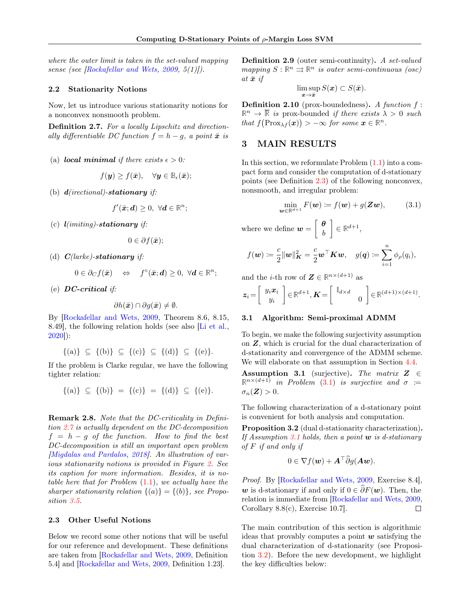where the outer limit is taken in the set-valued mapping sense (see [\[Rockafellar and Wets,](#page-10-0) [2009,](#page-10-0) 5(1)]).

#### 2.2 Stationarity Notions

Now, let us introduce various stationarity notions for a nonconvex nonsmooth problem.

<span id="page-3-0"></span>Definition 2.7. For a locally Lipschitz and directionally differentiable DC function  $f = h - g$ , a point  $\bar{x}$  is

(a) local minimal if there exists  $\epsilon > 0$ :

$$
f(\mathbf{y}) \geq f(\bar{\mathbf{x}}), \quad \forall \mathbf{y} \in \mathbb{B}_{\epsilon}(\bar{\mathbf{x}});
$$

(b)  $d(irectional)$ -stationary if:

$$
f'(\bar{\boldsymbol{x}}; \boldsymbol{d}) \geq 0, \ \forall \boldsymbol{d} \in \mathbb{R}^n;
$$

(c)  $\mathbf{l}(initial)$ -stationary if:

$$
0\in\partial f(\bar{\bm{x}});
$$

(d)  $C(larke)$ -stationary if:

$$
0\in\partial_{C}f(\bar{\boldsymbol{x}})\quad\Leftrightarrow\quad f^{\circ}(\bar{\boldsymbol{x}};\boldsymbol{d})\geq0,\ \forall\boldsymbol{d}\in\mathbb{R}^{n};
$$

(e)  $DC\text{-}critical$  if:

$$
\partial h(\bar{\bm{x}}) \cap \partial g(\bar{\bm{x}}) \neq \emptyset.
$$

By [\[Rockafellar and Wets,](#page-10-0) [2009,](#page-10-0) Theorem 8.6, 8.15, 8.49], the following relation holds (see also [\[Li et al.,](#page-9-1) [2020\]](#page-9-1)):

$$
\{(a)\}\ \subseteq\ \{(b)\}\ \subseteq\ \{(c)\}\ \subseteq\ \{(d)\}\ \subseteq\ \{(e)\}.
$$

If the problem is Clarke regular, we have the following tighter relation:

$$
\{(a)\}\ \subseteq\ \{(b)\}\ =\ \{(c)\}\ =\ \{(d)\}\ \subseteq\ \{(e)\}.
$$

Remark 2.8. Note that the DC-criticality in Definition [2.7](#page-3-0) is actually dependent on the DC-decomposition  $f = h - g$  of the function. How to find the best DC-decomposition is still an important open problem [\[Migdalas and Pardalos,](#page-9-16) [2018\]](#page-9-16). An illustration of various stationarity notions is provided in Figure [2.](#page-4-0) See its caption for more information. Besides, it is notable here that for Problem  $(1.1)$ , we actually have the sharper stationarity relation  $\{(a)\} = \{(b)\}\$ , see Proposition [3.5.](#page-5-0)

#### 2.3 Other Useful Notions

<span id="page-3-3"></span>Below we record some other notions that will be useful for our reference and development. These definitions are taken from [\[Rockafellar and Wets,](#page-10-0) [2009,](#page-10-0) Definition 5.4] and [\[Rockafellar and Wets,](#page-10-0) [2009,](#page-10-0) Definition 1.23].

Definition 2.9 (outer semi-continuity). A set-valued  $mapping S: \mathbb{R}^n \rightrightarrows \mathbb{R}^n$  is outer semi-continuous (osc) at  $\bar{x}$  if

$$
\limsup_{\bm{x}\to\bar{\bm{x}}}S(\bm{x})\subset S(\bar{\bm{x}}).
$$

<span id="page-3-5"></span>**Definition 2.10** (prox-boundedness). A function  $f$ :  $\mathbb{R}^n \to \overline{\mathbb{R}}$  is prox-bounded if there exists  $\lambda > 0$  such that  $f(\text{Prox}_{\lambda f}(\boldsymbol{x})) > -\infty$  for some  $\boldsymbol{x} \in \mathbb{R}^n$ .

# 3 MAIN RESULTS

In this section, we reformulate Problem  $(1.1)$  into a compact form and consider the computation of d-stationary points (see Definition [2.3\)](#page-2-1) of the following nonconvex, nonsmooth, and irregular problem:

<span id="page-3-1"></span>
$$
\min_{\mathbf{w}\in\mathbb{R}^{d+1}} F(\mathbf{w}) \coloneqq f(\mathbf{w}) + g(\mathbf{Z}\mathbf{w}),\tag{3.1}
$$

where we define  $w = \begin{bmatrix} \theta \\ \frac{\theta}{\mu} \end{bmatrix}$ b  $\Big] \in \mathbb{R}^{d+1},$ 

$$
f(\boldsymbol{w}) \coloneqq \frac{c}{2} ||\boldsymbol{w}||_{\boldsymbol{K}}^2 = \frac{c}{2} \boldsymbol{w}^\top \boldsymbol{K} \boldsymbol{w}, \quad g(\boldsymbol{q}) \coloneqq \sum_{i=1}^n \phi_{\rho}(q_i),
$$

and the *i*-th row of  $\mathbf{Z} \in \mathbb{R}^{n \times (d+1)}$  as

$$
\boldsymbol{z}_i = \left[\begin{array}{c} y_i \boldsymbol{x}_i \\ y_i \end{array}\right] \in \mathbb{R}^{d+1}, \boldsymbol{K} = \left[\begin{array}{cc} \mathbb{I}_{d \times d} & 0 \end{array}\right] \in \mathbb{R}^{(d+1) \times (d+1)}.
$$

#### 3.1 Algorithm: Semi-proximal ADMM

To begin, we make the following surjectivity assumption on Z, which is crucial for the dual characterization of d-stationarity and convergence of the ADMM scheme. We will elaborate on that assumption in Section [4.4.](#page-6-1)

<span id="page-3-4"></span>Assumption 3.1 (surjective). The matrix  $Z \in$  $\mathbb{R}^{n \times (d+1)}$  in Problem [\(3.1\)](#page-3-1) is surjective and  $\sigma :=$  $\sigma_n(\mathbf{Z}) > 0.$ 

The following characterization of a d-stationary point is convenient for both analysis and computation.

<span id="page-3-2"></span>Proposition 3.2 (dual d-stationarity characterization). If Assumption [3.1](#page-3-4) holds, then a point  $w$  is d-stationary  $of F$  if and only if

$$
0 \in \nabla f(\boldsymbol{w}) + \boldsymbol{A}^\top \widehat{\partial} g(\boldsymbol{A}\boldsymbol{w}).
$$

Proof. By [\[Rockafellar and Wets,](#page-10-0) [2009,](#page-10-0) Exercise 8.4], w is d-stationary if and only if  $0 \in \widehat{\partial} F(\boldsymbol{w})$ . Then, the relation is immediate from [\[Rockafellar and Wets,](#page-10-0) [2009,](#page-10-0) Corollary 8.8(c), Exercise 10.7].  $\Box$ 

The main contribution of this section is algorithmic ideas that provably computes a point  $w$  satisfying the dual characterization of d-stationarity (see Proposition [3.2\)](#page-3-2). Before the new development, we highlight the key difficulties below: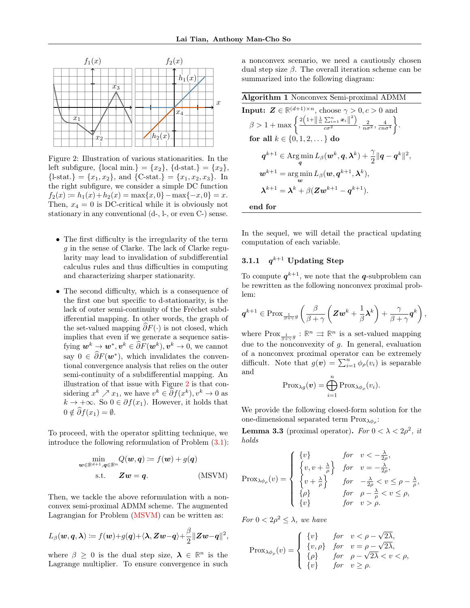<span id="page-4-0"></span>

Figure 2: Illustration of various stationarities. In the left subfigure,  $\{local min.\} = \{x_2\}, \{d\text{-stat.}\} = \{x_2\},\$  ${l-stat.} = {x_1, x_2}$ , and  ${C-stat.} = {x_1, x_2, x_3}$ . In the right subfigure, we consider a simple DC function  $f_2(x) \coloneqq h_1(x) + h_2(x) = \max\{x, 0\} - \max\{-x, 0\} = x.$ Then,  $x_4 = 0$  is DC-critical while it is obviously not stationary in any conventional (d-, l-, or even C-) sense.

- The first difficulty is the irregularity of the term g in the sense of Clarke. The lack of Clarke regularity may lead to invalidation of subdifferential calculus rules and thus difficulties in computing and characterizing sharper stationarity.
- The second difficulty, which is a consequence of the first one but specific to d-stationarity, is the lack of outer semi-continuity of the Fréchet subdifferential mapping. In other words, the graph of the set-valued mapping  $\partial F(\cdot)$  is not closed, which implies that even if we generate a sequence satisfying  $\mathbf{w}^k \to \mathbf{w}^*, \mathbf{v}^k \in \widehat{\partial} F(\mathbf{w}^k), \mathbf{v}^k \to 0$ , we cannot say  $0 \in \partial F(\boldsymbol{w}^*)$ , which invalidates the conventional convergence analysis that relies on the outer semi-continuity of a subdifferential mapping. An illustration of that issue with Figure [2](#page-4-0) is that considering  $x^k \nearrow x_1$ , we have  $v^k \in \partial f(x^k), v^k \to 0$  as  $k \to +\infty$ . So  $0 \in \partial f(x_1)$ . However, it holds that  $0 \notin \widehat{\partial} f(x_1) = \emptyset.$

To proceed, with the operator splitting technique, we introduce the following reformulation of Problem [\(3.1\)](#page-3-1):

$$
\min_{\mathbf{w}\in\mathbb{R}^{d+1},\mathbf{q}\in\mathbb{R}^n} Q(\mathbf{w},\mathbf{q}) := f(\mathbf{w}) + g(\mathbf{q})
$$
  
s.t.  $\mathbf{Z}\mathbf{w} = \mathbf{q}.$  (MSVM)

Then, we tackle the above reformulation with a nonconvex semi-proximal ADMM scheme. The augmented Lagrangian for Problem [\(MSVM\)](#page-4-2) can be written as:

$$
L_{\beta}(\boldsymbol{w},\boldsymbol{q},\boldsymbol{\lambda})\coloneqq f(\boldsymbol{w})+g(\boldsymbol{q})+\langle\boldsymbol{\lambda},\boldsymbol{Z}\boldsymbol{w}-\boldsymbol{q}\rangle+\frac{\beta}{2}\|\boldsymbol{Z}\boldsymbol{w}-\boldsymbol{q}\|^2,
$$

where  $\beta \geq 0$  is the dual step size,  $\lambda \in \mathbb{R}^n$  is the Lagrange multiplier. To ensure convergence in such a nonconvex scenario, we need a cautiously chosen dual step size β. The overall iteration scheme can be summarized into the following diagram:

<span id="page-4-1"></span>

| Algorithm 1 Nonconvex Semi-proximal ADMM                                                                                                                                  |  |  |  |  |
|---------------------------------------------------------------------------------------------------------------------------------------------------------------------------|--|--|--|--|
| <b>Input:</b> $\mathbf{Z} \in \mathbb{R}^{(d+1)\times n}$ , choose $\gamma > 0, c > 0$ and                                                                                |  |  |  |  |
| $\beta > 1 + \max \left\{ \frac{2\left(1 + \left\ \frac{1}{n}\sum_{i=1}^{n} x_i\right\ ^2\right)}{\sigma \sigma^2}, \frac{2}{n\sigma^2}, \frac{4}{cn\sigma^4} \right\}.$  |  |  |  |  |
| for all $k \in \{0, 1, 2, \}$ do                                                                                                                                          |  |  |  |  |
| $\boldsymbol{q}^{k+1} \in \text{Arg}\min L_{\beta}(\boldsymbol{w}^k, \boldsymbol{q}, \boldsymbol{\lambda}^k) + \frac{\gamma}{2} \ \boldsymbol{q} - \boldsymbol{q}^k\ ^2,$ |  |  |  |  |
| $\mathbf{w}^{k+1} = \arg \min L_{\beta}(\mathbf{w}, \mathbf{q}^{k+1}, \mathbf{\lambda}^k),$                                                                               |  |  |  |  |
| $\lambda^{k+1} = \lambda^k + \beta (Zw^{k+1} - q^{k+1}).$                                                                                                                 |  |  |  |  |

end for

In the sequel, we will detail the practical updating computation of each variable.

#### $3.1.1$  $q^{k+1}$  Updating Step

To compute  $q^{k+1}$ , we note that the *q*-subproblem can be rewritten as the following nonconvex proximal problem:

$$
\boldsymbol{q}^{k+1}\in \mathrm{Prox}_{\frac{1}{\beta+\gamma}g}\left(\frac{\beta}{\beta+\gamma}\left(\boldsymbol{Z}\boldsymbol{w}^k+\frac{1}{\beta}\boldsymbol{\lambda}^k\right)+\frac{\gamma}{\beta+\gamma}\boldsymbol{q}^k\right),\,
$$

where  $Prox_{\frac{1}{\beta+\gamma}g}: \mathbb{R}^n \implies \mathbb{R}^n$  is a set-valued mapping due to the nonconvexity of  $q$ . In general, evaluation of a nonconvex proximal operator can be extremely difficult. Note that  $g(v) = \sum_{i=1}^{n} \phi_{\rho}(v_i)$  is separable and

$$
\mathrm{Prox}_{\lambda g}(\boldsymbol{v}) = \bigoplus_{i=1}^n \mathrm{Prox}_{\lambda \phi_{\rho}}(v_i).
$$

We provide the following closed-form solution for the one-dimensional separated term  $Prox_{\lambda\phi_{\rho}}$ :

<span id="page-4-3"></span>**Lemma 3.3** (proximal operator). For  $0 < \lambda < 2\rho^2$ , it holds

<span id="page-4-2"></span>
$$
\text{Prox}_{\lambda\phi_{\rho}}(v) = \begin{cases} \n\{v\} & \text{for} \quad v < -\frac{\lambda}{2\rho}, \\ \n\{v, v + \frac{\lambda}{\rho}\} & \text{for} \quad v = -\frac{\lambda}{2\rho}, \\ \n\{v + \frac{\lambda}{\rho}\} & \text{for} \quad -\frac{\lambda}{2\rho} < v \le \rho - \frac{\lambda}{\rho}, \\ \n\{\rho\} & \text{for} \quad \rho - \frac{\lambda}{\rho} < v \le \rho, \\ \n\{v\} & \text{for} \quad v > \rho. \n\end{cases}
$$

For  $0 < 2\rho^2 \leq \lambda$ , we have

$$
\text{Prox}_{\lambda\phi_{\rho}}(v) = \begin{cases} \n\{v\} & \text{for} \quad v < \rho - \sqrt{2\lambda}, \\ \n\{v, \rho\} & \text{for} \quad v = \rho - \sqrt{2\lambda}, \\ \n\{\rho\} & \text{for} \quad \rho - \sqrt{2\lambda} < v < \rho, \\ \n\{v\} & \text{for} \quad v \ge \rho. \n\end{cases}
$$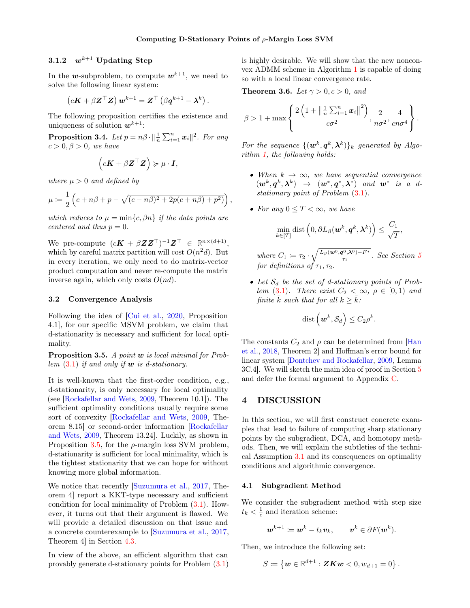# 3.1.2  $w^{k+1}$  Updating Step

In the w-subproblem, to compute  $w^{k+1}$ , we need to solve the following linear system:

$$
\left(c\boldsymbol{K}+\beta\boldsymbol{Z}^{\top}\boldsymbol{Z}\right)\boldsymbol{w}^{k+1}=\boldsymbol{Z}^{\top}\left(\beta\boldsymbol{q}^{k+1}-\boldsymbol{\lambda}^{k}\right).
$$

The following proposition certifies the existence and uniqueness of solution  $w^{k+1}$ :

<span id="page-5-3"></span>**Proposition 3.4.** Let  $p = n\beta \cdot ||\frac{1}{n} \sum_{i=1}^{n} x_i||^2$ . For any  $c > 0, \beta > 0$ , we have

$$
(c\mathbf{K} + \beta \mathbf{Z}^{\top} \mathbf{Z}) \succcurlyeq \mu \cdot \mathbf{I},
$$

where  $\mu > 0$  and defined by

$$
\mu := \frac{1}{2} \left( c + n\beta + p - \sqrt{(c - n\beta)^2 + 2p(c + n\beta) + p^2)} \right),
$$

which reduces to  $\mu = \min\{c, \beta n\}$  if the data points are centered and thus  $p = 0$ .

We pre-compute  $(c\boldsymbol{K} + \beta \boldsymbol{Z} \boldsymbol{Z}^{\top})^{-1} \boldsymbol{Z}^{\top} \in \mathbb{R}^{n \times (d+1)},$ which by careful matrix partition will cost  $O(n^2d)$ . But in every iteration, we only need to do matrix-vector product computation and never re-compute the matrix inverse again, which only costs  $O(nd)$ .

#### 3.2 Convergence Analysis

Following the idea of [\[Cui et al.,](#page-9-17) [2020,](#page-9-17) Proposition 4.1], for our specific MSVM problem, we claim that d-stationarity is necessary and sufficient for local optimality.

<span id="page-5-0"></span>**Proposition 3.5.** A point  $w$  is local minimal for Problem  $(3.1)$  if and only if **w** is d-stationary.

It is well-known that the first-order condition, e.g., d-stationarity, is only necessary for local optimality (see [\[Rockafellar and Wets,](#page-10-0) [2009,](#page-10-0) Theorem 10.1]). The sufficient optimality conditions usually require some sort of convexity [\[Rockafellar and Wets,](#page-10-0) [2009,](#page-10-0) Theorem 8.15] or second-order information [\[Rockafellar](#page-10-0) [and Wets,](#page-10-0) [2009,](#page-10-0) Theorem 13.24]. Luckily, as shown in Proposition [3.5,](#page-5-0) for the  $\rho$ -margin loss SVM problem, d-stationarity is sufficient for local minimality, which is the tightest stationarity that we can hope for without knowing more global information.

We notice that recently [\[Suzumura et al.,](#page-10-4) [2017,](#page-10-4) Theorem 4] report a KKT-type necessary and sufficient condition for local minimality of Problem [\(3.1\)](#page-3-1). However, it turns out that their argument is flawed. We will provide a detailed discussion on that issue and a concrete counterexample to [\[Suzumura et al.,](#page-10-4) [2017,](#page-10-4) Theorem 4] in Section [4.3.](#page-6-0)

In view of the above, an efficient algorithm that can provably generate d-stationary points for Problem [\(3.1\)](#page-3-1) is highly desirable. We will show that the new nonconvex ADMM scheme in Algorithm [1](#page-4-1) is capable of doing so with a local linear convergence rate.

<span id="page-5-2"></span>**Theorem 3.6.** Let  $\gamma > 0, c > 0$ , and

$$
\beta > 1 + \max \left\{ \frac{2\left(1 + \left\|\frac{1}{n}\sum_{i=1}^{n} x_i\right\|^2\right)}{c\sigma^2}, \frac{2}{n\sigma^2}, \frac{4}{cn\sigma^4} \right\}.
$$

For the sequence  $\{(\mathbf{w}^k, \mathbf{q}^k, \boldsymbol{\lambda}^k)\}_k$  generated by Algorithm [1,](#page-4-1) the following holds:

- When  $k \to \infty$ , we have sequential convergence  $(\boldsymbol{w}^k,\boldsymbol{q}^k,\boldsymbol{\lambda}^k) \rightarrow (\boldsymbol{w}^*,\boldsymbol{q}^*,\boldsymbol{\lambda}^*)$  and  $\boldsymbol{w}^*$  is a dstationary point of Problem [\(3.1\)](#page-3-1).
- For any  $0 \leq T \leq \infty$ , we have

$$
\min_{k \in [T]} \text{dist}\left(0, \partial L_{\beta}(\boldsymbol{w}^k, \boldsymbol{q}^k, \boldsymbol{\lambda}^k)\right) \leq \frac{C_1}{\sqrt{T}},
$$

where  $C_1 \coloneqq \tau_2 \cdot \sqrt{\frac{L_\beta(\boldsymbol{w}^0,\boldsymbol{q}^0,\boldsymbol{\lambda}^0)-F^*}{\tau_1}}$  $\frac{\Gamma^{(1)}(X^{(2)}) - F^{(3)}(X^{(2)})}{\tau_1}$ . See Section [5](#page-6-2) for definitions of  $\tau_1, \tau_2$ .

• Let  $S_d$  be the set of d-stationary points of Prob-lem [\(3.1\)](#page-3-1). There exist  $C_2 < \infty$ ,  $\rho \in [0,1)$  and finite  $\bar{k}$  such that for all  $k \geq \bar{k}$ :

$$
\operatorname{dist}\left(\boldsymbol{w}^k,\mathcal{S}_d\right)\le C_2\rho^k.
$$

The constants  $C_2$  and  $\rho$  can be determined from [\[Han](#page-9-18) [et al.,](#page-9-18) [2018,](#page-9-18) Theorem 2] and Hoffman's error bound for linear system [\[Dontchev and Rockafellar,](#page-9-19) [2009,](#page-9-19) Lemma 3C.4]. We will sketch the main idea of proof in Section [5](#page-6-2) and defer the formal argument to Appendix [C.](#page-16-0)

# 4 DISCUSSION

In this section, we will first construct concrete examples that lead to failure of computing sharp stationary points by the subgradient, DCA, and homotopy methods. Then, we will explain the subtleties of the technical Assumption [3.1](#page-3-4) and its consequences on optimality conditions and algorithmic convergence.

#### <span id="page-5-1"></span>4.1 Subgradient Method

We consider the subgradient method with step size  $t_k < \frac{1}{c}$  and iteration scheme:

$$
\boldsymbol{w}^{k+1} \coloneqq \boldsymbol{w}^k - t_k \boldsymbol{v}_k, \qquad \boldsymbol{v}^k \in \partial F(\boldsymbol{w}^k).
$$

Then, we introduce the following set:

$$
S\coloneqq\left\{\boldsymbol{w}\in\mathbb{R}^{d+1}:\boldsymbol{Z}\boldsymbol{K}\boldsymbol{w}<0,w_{d+1}=0\right\}.
$$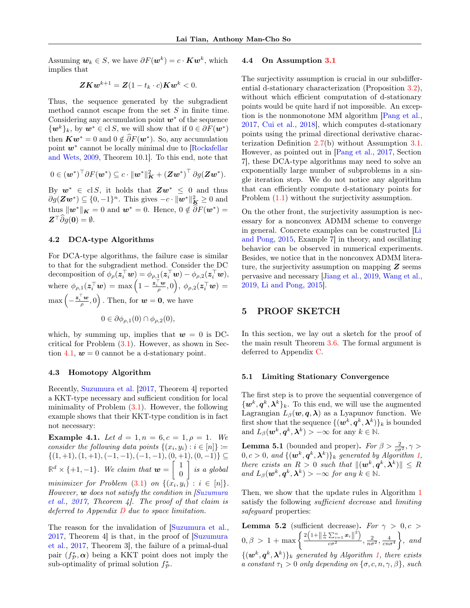Assuming  $w_k \in S$ , we have  $\partial F(w^k) = c \cdot K w^k$ , which implies that

$$
\boldsymbol{ZKw}^{k+1} = \boldsymbol{Z}(1-t_k\cdot c)\boldsymbol{Kw}^k < 0.
$$

Thus, the sequence generated by the subgradient method cannot escape from the set  $S$  in finite time. Considering any accumulation point  $w^*$  of the sequence  $\{w^k\}_k$ , by  $w^* \in \text{cl } S$ , we will show that if  $0 \in \partial F(w^*)$ then  $\boldsymbol{K}\boldsymbol{w}^* = 0$  and  $0 \notin \widehat{\partial} F(\boldsymbol{w}^*)$ . So, any accumulation point  $w^*$  cannot be locally minimal due to [\[Rockafellar](#page-10-0) [and Wets,](#page-10-0) [2009,](#page-10-0) Theorem 10.1]. To this end, note that

$$
0 \in (\boldsymbol{w}^*)^\top \partial F(\boldsymbol{w}^*) \subseteq c \cdot ||\boldsymbol{w}^*||^2_{\boldsymbol{K}} + (\boldsymbol{Z}\boldsymbol{w}^*)^\top \partial g(\boldsymbol{Z}\boldsymbol{w}^*).
$$

By  $w^* \in \text{cl } S$ , it holds that  $Zw^* \leq 0$  and thus  $\partial g(\mathbf{Z}\mathbf{w}^*) \subseteq \{0, -1\}^n$ . This gives  $-c \cdot ||\mathbf{w}^*||^2_{\mathbf{K}} \ge 0$  and thus  $\|\boldsymbol{w}^*\|_{\boldsymbol{K}} = 0$  and  $\boldsymbol{w}^* = 0$ . Hence,  $0 \notin \widehat{\partial}F(\boldsymbol{w}^*) =$  $\mathbf{Z}^\top \widehat{\partial} g(\mathbf{0}) = \emptyset.$ 

#### 4.2 DCA-type Algorithms

For DCA-type algorithms, the failure case is similar to that for the subgradient method. Consider the DC decomposition of  $\phi_{\rho}(z_i^{\top}w) = \phi_{\rho,1}(z_i^{\top}w) - \phi_{\rho,2}(z_i^{\top}w),$ where  $\phi_{\rho,1}(\boldsymbol{z}_i^\top \boldsymbol{w}) = \max \Big(1 - \frac{\boldsymbol{z}_i^\top \boldsymbol{w}}{\rho}, 0 \Big), \ \phi_{\rho,2}(\boldsymbol{z}_i^\top \boldsymbol{w}) = 0$  $\max\left(-\frac{\mathbf{z}_i^{\top}\mathbf{w}}{\rho},0\right)$  . Then, for  $\mathbf{w}=\mathbf{0}$ , we have  $0 \in \partial \phi_{\rho,1}(0) \cap \phi_{\rho,2}(0),$ 

which, by summing up, implies that  $w = 0$  is DCcritical for Problem [\(3.1\)](#page-3-1). However, as shown in Sec-tion [4.1,](#page-5-1)  $w = 0$  cannot be a d-stationary point.

#### <span id="page-6-0"></span>4.3 Homotopy Algorithm

Recently, [Suzumura et al.](#page-10-4) [\[2017,](#page-10-4) Theorem 4] reported a KKT-type necessary and sufficient condition for local minimality of Problem  $(3.1)$ . However, the following example shows that their KKT-type condition is in fact not necessary:

**Example 4.1.** Let  $d = 1, n = 6, c = 1, \rho = 1$ . We consider the following data points  $\{(x_i, y_i) : i \in [n]\} \coloneqq$  $\{(1, +1), (1, +1), (-1, -1), (-1, -1), (0, +1), (0, -1)\}\subseteq$  $\mathbb{R}^d \times \{+1,-1\}$ . We claim that  $\mathbf{w} = \begin{bmatrix} 1 \\ 0 \end{bmatrix}$ 0  $\Big\}$  is a global minimizer for Problem  $(3.1)$  on  $\{(x_i, y_i) : i \in [n]\}.$ However,  $\boldsymbol{w}$  does not satisfy the condition in [\[Suzumura](#page-10-4)] [et al.,](#page-10-4)  $2017$ , Theorem 4. The proof of that claim is deferred to Appendix  $D$  due to space limitation.

The reason for the invalidation of [\[Suzumura et al.,](#page-10-4) [2017,](#page-10-4) Theorem 4] is that, in the proof of [\[Suzumura](#page-10-4) [et al.,](#page-10-4) [2017,](#page-10-4) Theorem 3], the failure of a primal-dual pair  $(f_{\mathcal{P}}^*, \alpha)$  being a KKT point does not imply the sub-optimality of primal solution  $f^*_{\mathcal{P}}$ .

#### <span id="page-6-1"></span>4.4 On Assumption [3.1](#page-3-4)

The surjectivity assumption is crucial in our subdifferential d-stationary characterization (Proposition [3.2\)](#page-3-2), without which efficient computation of d-stationary points would be quite hard if not impossible. An exception is the nonmonotone MM algorithm [\[Pang et al.,](#page-10-7) [2017,](#page-10-7) [Cui et al.,](#page-9-12) [2018\]](#page-9-12), which computes d-stationary points using the primal directional derivative characterization Definition [2.7\(](#page-3-0)b) without Assumption [3.1.](#page-3-4) However, as pointed out in [\[Pang et al.,](#page-10-7) [2017,](#page-10-7) Section 7], these DCA-type algorithms may need to solve an exponentially large number of subproblems in a single iteration step. We do not notice any algorithm that can efficiently compute d-stationary points for Problem [\(1.1\)](#page-0-0) without the surjectivity assumption.

On the other front, the surjectivity assumption is necessary for a nonconvex ADMM scheme to converge in general. Concrete examples can be constructed [\[Li](#page-9-20) [and Pong,](#page-9-20) [2015,](#page-9-20) Example 7] in theory, and oscillating behavior can be observed in numerical experiments. Besides, we notice that in the nonconvex ADMM literature, the surjectivity assumption on mapping  $Z$  seems pervasive and necessary [\[Jiang et al.,](#page-9-21) [2019,](#page-9-21) [Wang et al.,](#page-10-9) [2019,](#page-10-9) [Li and Pong,](#page-9-20) [2015\]](#page-9-20).

### <span id="page-6-2"></span>5 PROOF SKETCH

In this section, we lay out a sketch for the proof of the main result Theorem [3.6.](#page-5-2) The formal argument is deferred to Appendix [C.](#page-16-0)

#### 5.1 Limiting Stationary Convergence

The first step is to prove the sequential convergence of  $\{\boldsymbol{w}^k, \boldsymbol{q}^k, \boldsymbol{\lambda}^k\}_k$ . To this end, we will use the augmented Lagrangian  $L_\beta(\mathbf{w}, \mathbf{q}, \boldsymbol{\lambda})$  as a Lyapunov function. We first show that the sequence  $\{(\boldsymbol{w}^k,\boldsymbol{q}^k,\boldsymbol{\lambda}^k)\}_k$  is bounded and  $L_{\beta}(\boldsymbol{w}^k, \boldsymbol{q}^k, \boldsymbol{\lambda}^k) > -\infty$  for any  $k \in \mathbb{N}$ .

<span id="page-6-4"></span>**Lemma 5.1** (bounded and proper). For  $\beta > \frac{2}{c\sigma^2}, \gamma >$  $(0, c > 0, \text{ and } \{(\boldsymbol{w}^k, \boldsymbol{q}^k, \boldsymbol{\lambda}^k)\}_k$  generated by Algorithm [1,](#page-4-1) there exists an  $R > 0$  such that  $\|(\mathbf{w}^k, \mathbf{q}^k, \boldsymbol{\lambda}^k)\| \leq R$ and  $L_{\beta}(\boldsymbol{w}^k, \boldsymbol{q}^k, \boldsymbol{\lambda}^k) > -\infty$  for any  $k \in \mathbb{N}$ .

Then, we show that the update rules in Algorithm [1](#page-4-1) satisfy the following *sufficient decrease* and *limiting* safeguard properties:

<span id="page-6-3"></span>**Lemma 5.2** (sufficient decrease). For  $\gamma > 0, c >$  $0, \beta > 1 + \max \left\{ \frac{2 \left(1 + \left\| \frac{1}{n} \sum_{i=1}^{n} x_i \right\|^2 \right)}{\sigma^2} \right\}$  $\frac{\sum_{i=1}^{\infty}x_i||}{c\sigma^2}, \frac{2}{n\sigma^2}, \frac{4}{cn\sigma^4}$  $\Big\}$ , and  $\{(\boldsymbol{w}^k,\boldsymbol{q}^k,\boldsymbol{\lambda}^k)\}_k$  generated by Algorithm [1,](#page-4-1) there exists a constant  $\tau_1 > 0$  only depending on  $\{\sigma, c, n, \gamma, \beta\}$ , such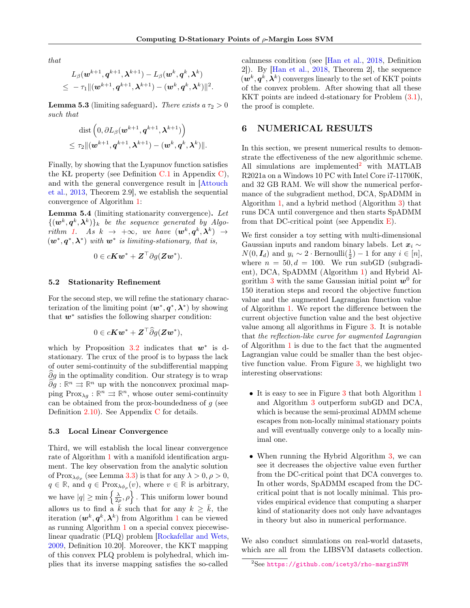that

$$
L_\beta(\boldsymbol{w}^{k+1}, \boldsymbol{q}^{k+1}, \boldsymbol{\lambda}^{k+1}) - L_\beta(\boldsymbol{w}^k, \boldsymbol{q}^k, \boldsymbol{\lambda}^k) \\ \leq ~ - \tau_1 \|(\boldsymbol{w}^{k+1}, \boldsymbol{q}^{k+1}, \boldsymbol{\lambda}^{k+1}) - (\boldsymbol{w}^k, \boldsymbol{q}^k, \boldsymbol{\lambda}^k)\|^2.
$$

<span id="page-7-1"></span>**Lemma 5.3** (limiting safeguard). There exists  $a \tau_2 > 0$ such that

$$
\begin{aligned} &\text{dist}\left({0}, \partial L_{\beta}(\boldsymbol{w}^{k+1}, \boldsymbol{q}^{k+1}, \boldsymbol{\lambda}^{k+1})\right) \\ &\leq \tau_2 \|(\boldsymbol{w}^{k+1}, \boldsymbol{q}^{k+1}, \boldsymbol{\lambda}^{k+1}) - (\boldsymbol{w}^{k}, \boldsymbol{q}^{k}, \boldsymbol{\lambda}^{k})\|. \end{aligned}
$$

Finally, by showing that the Lyapunov function satisfies the KŁ property (see Definition  $C.1$  in Appendix  $C$ ), and with the general convergence result in [\[Attouch](#page-9-22) [et al.,](#page-9-22) [2013,](#page-9-22) Theorem 2.9], we establish the sequential convergence of Algorithm [1:](#page-4-1)

<span id="page-7-2"></span>Lemma 5.4 (limiting stationarity convergence). Let  $\{(\boldsymbol{w}^{k},\boldsymbol{q}^{k},\boldsymbol{\lambda}^{k})\}_{k}$  be the sequence generated by Algo-rithm [1.](#page-4-1) As  $k \to +\infty$ , we have  $(\mathbf{w}^k, \mathbf{q}^k, \boldsymbol{\lambda}^k) \to$  $(w^*, q^*, \lambda^*)$  with  $w^*$  is limiting-stationary, that is,

$$
0 \in cKw^* + \mathbf{Z}^\top \partial g(\mathbf{Z}w^*).
$$

#### 5.2 Stationarity Refinement

For the second step, we will refine the stationary characterization of the limiting point  $(w^*, q^*, \lambda^*)$  by showing that  $w^*$  satisfies the following sharper condition:

$$
0 \in c\mathbf{K} \mathbf{w}^* + \mathbf{Z}^\top \widehat{\partial} g(\mathbf{Z} \mathbf{w}^*),
$$

which by Proposition [3.2](#page-3-2) indicates that  $w^*$  is dstationary. The crux of the proof is to bypass the lack of outer semi-continuity of the subdifferential mapping  $\partial g$  in the optimality condition. Our strategy is to wrap  $\widehat{\partial g} : \mathbb{R}^n \Rightarrow \mathbb{R}^n$  up with the nonconvex proximal mapping  $\text{Prox}_{\lambda g}: \mathbb{R}^n \implies \mathbb{R}^n$ , whose outer semi-continuity can be obtained from the prox-boundedness of  $q$  (see Definition [2.10\)](#page-3-5). See Appendix [C](#page-16-0) for details.

#### 5.3 Local Linear Convergence

Third, we will establish the local linear convergence rate of Algorithm [1](#page-4-1) with a manifold identification argument. The key observation from the analytic solution of  $Prox_{\lambda\phi_{\rho}}$  (see Lemma [3.3\)](#page-4-3) is that for any  $\lambda > 0, \rho > 0$ ,  $q \in \mathbb{R}$ , and  $q \in \text{Prox}_{\lambda \phi_{\rho}}(v)$ , where  $v \in \mathbb{R}$  is arbitrary, we have  $|q| \ge \min\left\{\frac{\lambda}{2\rho}, \rho\right\}$ . This uniform lower bound allows us to find a  $\bar{k}$  such that for any  $k \geq \bar{k}$ , the iteration  $(w^k, q^k, \lambda^k)$  from Algorithm [1](#page-4-1) can be viewed as running Algorithm [1](#page-4-1) on a special convex piecewiselinear quadratic (PLQ) problem [\[Rockafellar and Wets,](#page-10-0) [2009,](#page-10-0) Definition 10.20]. Moreover, the KKT mapping of this convex PLQ problem is polyhedral, which implies that its inverse mapping satisfies the so-called

calmness condition (see [\[Han et al.,](#page-9-18) [2018,](#page-9-18) Definition 2]). By [\[Han et al.,](#page-9-18) [2018,](#page-9-18) Theorem 2], the sequence  $(w^k, q^k, \lambda^k)$  converges linearly to the set of KKT points of the convex problem. After showing that all these KKT points are indeed d-stationary for Problem [\(3.1\)](#page-3-1), the proof is complete.

# <span id="page-7-3"></span>6 NUMERICAL RESULTS

In this section, we present numerical results to demonstrate the effectiveness of the new algorithmic scheme. All simulations are implemented<sup>[2](#page-7-0)</sup> with MATLAB R2021a on a Windows 10 PC with Intel Core i7-11700K, and 32 GB RAM. We will show the numerical performance of the subgradient method, DCA, SpADMM in Algorithm [1,](#page-4-1) and a hybrid method (Algorithm [3\)](#page-20-0) that runs DCA until convergence and then starts SpADMM from that DC-critical point (see Appendix  $E$ ).

We first consider a toy setting with multi-dimensional Gaussian inputs and random binary labels. Let  $x_i \sim$  $N(0, \mathbf{I}_d)$  and  $y_i \sim 2 \cdot \text{Bernoulli}(\frac{1}{2}) - 1$  for any  $i \in [n],$ where  $n = 50, d = 100$ . We run subGD (subgradient), DCA, SpADMM (Algorithm [1\)](#page-4-1) and Hybrid Al-gorithm [3](#page-20-0) with the same Gaussian initial point  $w^0$  for 150 iteration steps and record the objective function value and the augmented Lagrangian function value of Algorithm [1.](#page-4-1) We report the difference between the current objective function value and the best objective value among all algorithms in Figure [3.](#page-8-0) It is notable that the reflection-like curve for augmented Lagrangian of Algorithm [1](#page-4-1) is due to the fact that the augmented Lagrangian value could be smaller than the best objective function value. From Figure [3,](#page-8-0) we highlight two interesting observations:

- It is easy to see in Figure [3](#page-8-0) that both Algorithm [1](#page-4-1) and Algorithm [3](#page-20-0) outperform subGD and DCA, which is because the semi-proximal ADMM scheme escapes from non-locally minimal stationary points and will eventually converge only to a locally minimal one.
- When running the Hybrid Algorithm [3,](#page-20-0) we can see it decreases the objective value even further from the DC-critical point that DCA converges to. In other words, SpADMM escaped from the DCcritical point that is not locally minimal. This provides empirical evidence that computing a sharper kind of stationarity does not only have advantages in theory but also in numerical performance.

We also conduct simulations on real-world datasets, which are all from the LIBSVM datasets collection.

<span id="page-7-0"></span><sup>&</sup>lt;sup>2</sup>See <https://github.com/icety3/rho-marginSVM>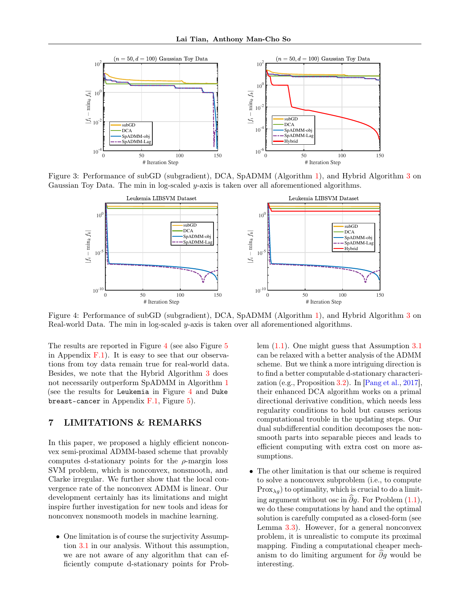<span id="page-8-0"></span>

<span id="page-8-1"></span>Figure 3: Performance of subGD (subgradient), DCA, SpADMM (Algorithm [1\)](#page-4-1), and Hybrid Algorithm [3](#page-20-0) on Gaussian Toy Data. The min in log-scaled y-axis is taken over all aforementioned algorithms.



Figure 4: Performance of subGD (subgradient), DCA, SpADMM (Algorithm [1\)](#page-4-1), and Hybrid Algorithm [3](#page-20-0) on Real-world Data. The min in log-scaled y-axis is taken over all aforementioned algorithms.

The results are reported in Figure [4](#page-8-1) (see also Figure [5](#page-21-0)) in Appendix  $F.1$ ). It is easy to see that our observations from toy data remain true for real-world data. Besides, we note that the Hybrid Algorithm [3](#page-20-0) does not necessarily outperform SpADMM in Algorithm [1](#page-4-1) (see the results for Leukemia in Figure [4](#page-8-1) and Duke breast-cancer in Appendix  $F.1$ , Figure [5\)](#page-21-0).

# 7 LIMITATIONS & REMARKS

In this paper, we proposed a highly efficient nonconvex semi-proximal ADMM-based scheme that provably computes d-stationary points for the  $\rho$ -margin loss SVM problem, which is nonconvex, nonsmooth, and Clarke irregular. We further show that the local convergence rate of the nonconvex ADMM is linear. Our development certainly has its limitations and might inspire further investigation for new tools and ideas for nonconvex nonsmooth models in machine learning.

• One limitation is of course the surjectivity Assumption [3.1](#page-3-4) in our analysis. Without this assumption, we are not aware of any algorithm that can efficiently compute d-stationary points for Problem [\(1.1\)](#page-0-0). One might guess that Assumption [3.1](#page-3-4) can be relaxed with a better analysis of the ADMM scheme. But we think a more intriguing direction is to find a better computable d-stationary characterization (e.g., Proposition [3.2\)](#page-3-2). In [\[Pang et al.,](#page-10-7) [2017\]](#page-10-7), their enhanced DCA algorithm works on a primal directional derivative condition, which needs less regularity conditions to hold but causes serious computational trouble in the updating steps. Our dual subdifferential condition decomposes the nonsmooth parts into separable pieces and leads to efficient computing with extra cost on more assumptions.

• The other limitation is that our scheme is required to solve a nonconvex subproblem (i.e., to compute  $Prox_{\lambda q}$  to optimality, which is crucial to do a limiting argument without osc in  $\partial g$ . For Problem [\(1.1\)](#page-0-0), we do these computations by hand and the optimal solution is carefully computed as a closed-form (see Lemma [3.3\)](#page-4-3). However, for a general nonconvex problem, it is unrealistic to compute its proximal mapping. Finding a computational cheaper mechanism to do limiting argument for  $\partial g$  would be interesting.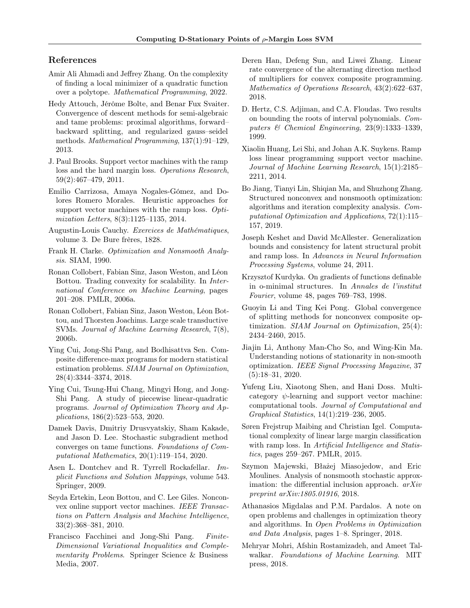## References

- <span id="page-9-11"></span>Amir Ali Ahmadi and Jeffrey Zhang. On the complexity of finding a local minimizer of a quadratic function over a polytope. Mathematical Programming, 2022.
- <span id="page-9-22"></span>Hedy Attouch, Jérôme Bolte, and Benar Fux Svaiter. Convergence of descent methods for semi-algebraic and tame problems: proximal algorithms, forward– backward splitting, and regularized gauss–seidel methods. Mathematical Programming, 137(1):91–129, 2013.
- <span id="page-9-2"></span>J. Paul Brooks. Support vector machines with the ramp loss and the hard margin loss. Operations Research, 59(2):467–479, 2011.
- <span id="page-9-3"></span>Emilio Carrizosa, Amaya Nogales-Gómez, and Dolores Romero Morales. Heuristic approaches for support vector machines with the ramp loss. Optimization Letters, 8(3):1125–1135, 2014.
- <span id="page-9-23"></span>Augustin-Louis Cauchy. Exercices de Mathématiques, volume 3. De Bure frères, 1828.
- <span id="page-9-15"></span>Frank H. Clarke. Optimization and Nonsmooth Analysis. SIAM, 1990.
- <span id="page-9-8"></span>Ronan Collobert, Fabian Sinz, Jason Weston, and Léon Bottou. Trading convexity for scalability. In International Conference on Machine Learning, pages 201–208. PMLR, 2006a.
- <span id="page-9-7"></span>Ronan Collobert, Fabian Sinz, Jason Weston, Léon Bottou, and Thorsten Joachims. Large scale transductive SVMs. Journal of Machine Learning Research, 7(8), 2006b.
- <span id="page-9-12"></span>Ying Cui, Jong-Shi Pang, and Bodhisattva Sen. Composite difference-max programs for modern statistical estimation problems. SIAM Journal on Optimization, 28(4):3344–3374, 2018.
- <span id="page-9-17"></span>Ying Cui, Tsung-Hui Chang, Mingyi Hong, and Jong-Shi Pang. A study of piecewise linear-quadratic programs. Journal of Optimization Theory and Applications, 186(2):523–553, 2020.
- <span id="page-9-13"></span>Damek Davis, Dmitriy Drusvyatskiy, Sham Kakade, and Jason D. Lee. Stochastic subgradient method converges on tame functions. Foundations of Computational Mathematics, 20(1):119–154, 2020.
- <span id="page-9-19"></span>Asen L. Dontchev and R. Tyrrell Rockafellar. Implicit Functions and Solution Mappings, volume 543. Springer, 2009.
- <span id="page-9-9"></span>Seyda Ertekin, Leon Bottou, and C. Lee Giles. Nonconvex online support vector machines. IEEE Transactions on Pattern Analysis and Machine Intelligence, 33(2):368–381, 2010.
- <span id="page-9-26"></span>Francisco Facchinei and Jong-Shi Pang. Finite-Dimensional Variational Inequalities and Complementarity Problems. Springer Science & Business Media, 2007.
- <span id="page-9-18"></span>Deren Han, Defeng Sun, and Liwei Zhang. Linear rate convergence of the alternating direction method of multipliers for convex composite programming. Mathematics of Operations Research, 43(2):622–637, 2018.
- <span id="page-9-24"></span>D. Hertz, C.S. Adjiman, and C.A. Floudas. Two results on bounding the roots of interval polynomials. Computers & Chemical Engineering, 23(9):1333–1339, 1999.
- <span id="page-9-5"></span>Xiaolin Huang, Lei Shi, and Johan A.K. Suykens. Ramp loss linear programming support vector machine. Journal of Machine Learning Research, 15(1):2185– 2211, 2014.
- <span id="page-9-21"></span>Bo Jiang, Tianyi Lin, Shiqian Ma, and Shuzhong Zhang. Structured nonconvex and nonsmooth optimization: algorithms and iteration complexity analysis. Computational Optimization and Applications, 72(1):115– 157, 2019.
- <span id="page-9-6"></span>Joseph Keshet and David McAllester. Generalization bounds and consistency for latent structural probit and ramp loss. In Advances in Neural Information Processing Systems, volume 24, 2011.
- <span id="page-9-25"></span>Krzysztof Kurdyka. On gradients of functions definable in o-minimal structures. In Annales de l'institut Fourier, volume 48, pages 769–783, 1998.
- <span id="page-9-20"></span>Guoyin Li and Ting Kei Pong. Global convergence of splitting methods for nonconvex composite optimization. SIAM Journal on Optimization, 25(4): 2434–2460, 2015.
- <span id="page-9-1"></span>Jiajin Li, Anthony Man-Cho So, and Wing-Kin Ma. Understanding notions of stationarity in non-smooth optimization. IEEE Signal Processing Magazine, 37 (5):18–31, 2020.
- <span id="page-9-4"></span>Yufeng Liu, Xiaotong Shen, and Hani Doss. Multicategory  $\psi$ -learning and support vector machine: computational tools. Journal of Computational and Graphical Statistics, 14(1):219–236, 2005.
- <span id="page-9-10"></span>Søren Frejstrup Maibing and Christian Igel. Computational complexity of linear large margin classification with ramp loss. In *Artificial Intelligence and Statis*tics, pages 259–267. PMLR, 2015.
- <span id="page-9-14"></span>Szymon Majewski, Błażej Miasojedow, and Eric Moulines. Analysis of nonsmooth stochastic approximation: the differential inclusion approach.  $arXiv$ preprint arXiv:1805.01916, 2018.
- <span id="page-9-16"></span>Athanasios Migdalas and P.M. Pardalos. A note on open problems and challenges in optimization theory and algorithms. In Open Problems in Optimization and Data Analysis, pages 1–8. Springer, 2018.
- <span id="page-9-0"></span>Mehryar Mohri, Afshin Rostamizadeh, and Ameet Talwalkar. Foundations of Machine Learning. MIT press, 2018.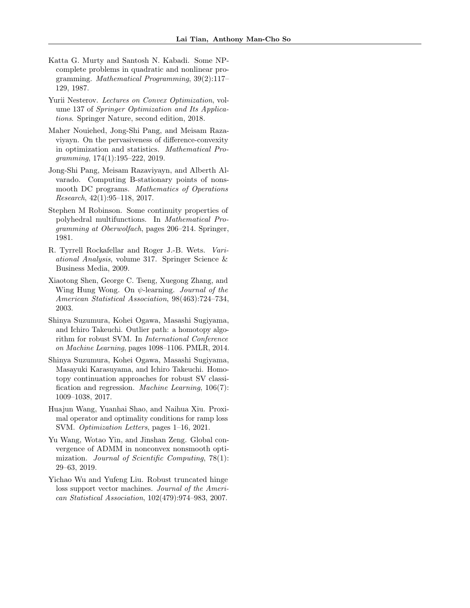- <span id="page-10-5"></span>Katta G. Murty and Santosh N. Kabadi. Some NPcomplete problems in quadratic and nonlinear programming. Mathematical Programming, 39(2):117– 129, 1987.
- <span id="page-10-10"></span>Yurii Nesterov. Lectures on Convex Optimization, volume 137 of Springer Optimization and Its Applications. Springer Nature, second edition, 2018.
- <span id="page-10-6"></span>Maher Nouiehed, Jong-Shi Pang, and Meisam Razaviyayn. On the pervasiveness of difference-convexity in optimization and statistics. Mathematical Programming, 174(1):195–222, 2019.
- <span id="page-10-7"></span>Jong-Shi Pang, Meisam Razaviyayn, and Alberth Alvarado. Computing B-stationary points of nonsmooth DC programs. Mathematics of Operations Research, 42(1):95–118, 2017.
- <span id="page-10-11"></span>Stephen M Robinson. Some continuity properties of polyhedral multifunctions. In Mathematical Programming at Oberwolfach, pages 206–214. Springer, 1981.
- <span id="page-10-0"></span>R. Tyrrell Rockafellar and Roger J.-B. Wets. Variational Analysis, volume 317. Springer Science & Business Media, 2009.
- <span id="page-10-2"></span>Xiaotong Shen, George C. Tseng, Xuegong Zhang, and Wing Hung Wong. On  $\psi$ -learning. *Journal of the* American Statistical Association, 98(463):724–734, 2003.
- <span id="page-10-8"></span>Shinya Suzumura, Kohei Ogawa, Masashi Sugiyama, and Ichiro Takeuchi. Outlier path: a homotopy algorithm for robust SVM. In International Conference on Machine Learning, pages 1098–1106. PMLR, 2014.
- <span id="page-10-4"></span>Shinya Suzumura, Kohei Ogawa, Masashi Sugiyama, Masayuki Karasuyama, and Ichiro Takeuchi. Homotopy continuation approaches for robust SV classification and regression. Machine Learning, 106(7): 1009–1038, 2017.
- <span id="page-10-1"></span>Huajun Wang, Yuanhai Shao, and Naihua Xiu. Proximal operator and optimality conditions for ramp loss SVM. Optimization Letters, pages 1–16, 2021.
- <span id="page-10-9"></span>Yu Wang, Wotao Yin, and Jinshan Zeng. Global convergence of ADMM in nonconvex nonsmooth optimization. Journal of Scientific Computing, 78(1): 29–63, 2019.
- <span id="page-10-3"></span>Yichao Wu and Yufeng Liu. Robust truncated hinge loss support vector machines. Journal of the American Statistical Association, 102(479):974–983, 2007.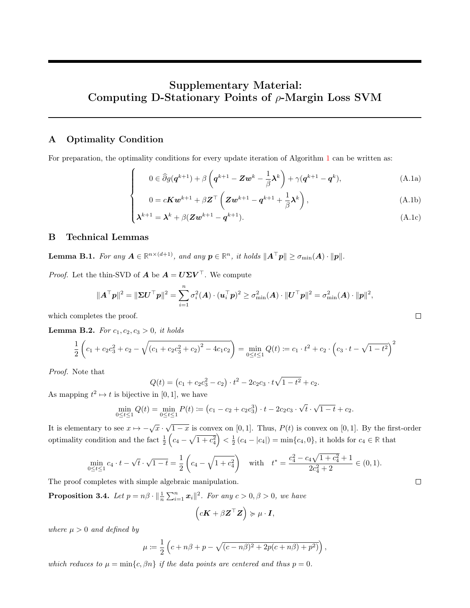# Supplementary Material: Computing D-Stationary Points of  $\rho$ -Margin Loss SVM

# A Optimality Condition

For preparation, the optimality conditions for every update iteration of Algorithm [1](#page-4-1) can be written as:

$$
\int 0 \in \widehat{\partial}g(\mathbf{q}^{k+1}) + \beta \left(\mathbf{q}^{k+1} - \mathbf{Z}\mathbf{w}^k - \frac{1}{\beta}\mathbf{\lambda}^k\right) + \gamma(\mathbf{q}^{k+1} - \mathbf{q}^k),
$$
\n(A.1a)

$$
\begin{cases}\n0 = cKw^{k+1} + \beta Z^{\top} \left( Zw^{k+1} - q^{k+1} + \frac{1}{\beta} \lambda^k \right), \\
\lambda^{k+1} = \lambda^k + \beta (Zw^{k+1} - q^{k+1}).\n\end{cases} (A.1b)
$$
\n(A.1c)

$$
\lambda^{k+1} = \lambda^k + \beta (Zw^{k+1} - q^{k+1}).
$$
\n(A.1c)

# B Technical Lemmas

<span id="page-11-3"></span>Lemma B.1. For any  $A \in \mathbb{R}^{n \times (d+1)}$ , and any  $p \in \mathbb{R}^n$ , it holds  $||A^\top p|| \geq \sigma_{\min}(A) \cdot ||p||$ .

*Proof.* Let the thin-SVD of  $\mathbf{A}$  be  $\mathbf{A} = \mathbf{U} \Sigma \mathbf{V}^{\top}$ . We compute

$$
\|\boldsymbol A^\top \boldsymbol p\|^2 = \|\boldsymbol \Sigma \boldsymbol U^\top \boldsymbol p\|^2 = \sum_{i=1}^n \sigma_i^2(\boldsymbol A) \cdot (\boldsymbol u_i^\top \boldsymbol p)^2 \geq \sigma_{\min}^2(\boldsymbol A) \cdot \|\boldsymbol U^\top \boldsymbol p\|^2 = \sigma_{\min}^2(\boldsymbol A) \cdot \|\boldsymbol p\|^2,
$$

which completes the proof.

<span id="page-11-0"></span>**Lemma B.2.** For  $c_1, c_2, c_3 > 0$ , it holds

$$
\frac{1}{2}\left(c_1 + c_2c_3^2 + c_2 - \sqrt{(c_1 + c_2c_3^2 + c_2)^2 - 4c_1c_2}\right) = \min_{0 \le t \le 1} Q(t) \coloneqq c_1 \cdot t^2 + c_2 \cdot \left(c_3 \cdot t - \sqrt{1 - t^2}\right)^2
$$

Proof. Note that

$$
Q(t) = (c_1 + c_2c_3^2 - c_2) \cdot t^2 - 2c_2c_3 \cdot t\sqrt{1 - t^2} + c_2.
$$

As mapping  $t^2 \mapsto t$  is bijective in [0, 1], we have

$$
\min_{0 \le t \le 1} Q(t) = \min_{0 \le t \le 1} P(t) := (c_1 - c_2 + c_2 c_3^3) \cdot t - 2c_2 c_3 \cdot \sqrt{t} \cdot \sqrt{1 - t} + c_2.
$$

It is elementary to see  $x \mapsto -\sqrt{x} \cdot \sqrt{1-x}$  is convex on [0, 1]. Thus,  $P(t)$  is convex on [0, 1]. By the first-order optimality condition and the fact  $\frac{1}{2} \left( c_4 - \sqrt{1 + c_4^2} \right) < \frac{1}{2} \left( c_4 - |c_4| \right) = \min\{c_4, 0\}$ , it holds for  $c_4 \in \mathbb{R}$  that

$$
\min_{0 \le t \le 1} c_4 \cdot t - \sqrt{t} \cdot \sqrt{1-t} = \frac{1}{2} \left( c_4 - \sqrt{1+c_4^2} \right) \quad \text{with} \quad t^* = \frac{c_4^2 - c_4 \sqrt{1+c_4^2} + 1}{2c_4^2 + 2} \in (0,1).
$$

The proof completes with simple algebraic manipulation.

**Proposition 3.4.** Let  $p = n\beta \cdot ||\frac{1}{n} \sum_{i=1}^{n} x_i||^2$ . For any  $c > 0, \beta > 0$ , we have

$$
(c\mathbf{K} + \beta \mathbf{Z}^{\top} \mathbf{Z}) \succcurlyeq \mu \cdot \mathbf{I},
$$

where  $\mu > 0$  and defined by

$$
\mu := \frac{1}{2} \left( c + n\beta + p - \sqrt{(c - n\beta)^2 + 2p(c + n\beta) + p^2)} \right),
$$

which reduces to  $\mu = \min\{c, \beta n\}$  if the data points are centered and thus  $p = 0$ .

 $\Box$ 

<span id="page-11-4"></span><span id="page-11-2"></span><span id="page-11-1"></span> $\Box$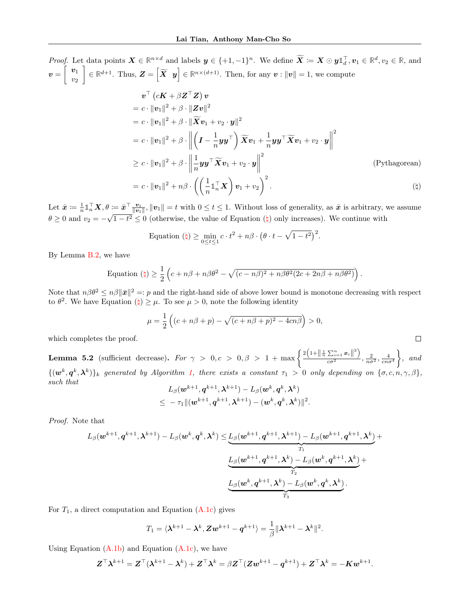Proof. Let data points  $\mathbf{X} \in \mathbb{R}^{n \times d}$  and labels  $\mathbf{y} \in \{+1, -1\}^n$ . We define  $\widetilde{\mathbf{X}} \coloneqq \mathbf{X} \odot \mathbf{y} \mathbf{1}_d^{\top}, \mathbf{v}_1 \in \mathbb{R}^d, v_2 \in \mathbb{R}$ , and  $\bm{v} = \left[\begin{array}{c} \bm{v}_1 \ \ldots \end{array}\right]$  $v_2$  $\mathcal{L} \in \mathbb{R}^{d+1}$ . Thus,  $\mathbf{Z} = \begin{bmatrix} \widetilde{\mathbf{X}} & \mathbf{y} \end{bmatrix} \in \mathbb{R}^{n \times (d+1)}$ . Then, for any  $\mathbf{v} : \|\mathbf{v}\| = 1$ , we compute  $\bm{v}^\top\left(c\bm{K}+\beta\bm{Z}^\top\bm{Z}\right)\bm{v}$  $= c \cdot \|\boldsymbol{v}_1\|^2 + \beta \cdot \|\boldsymbol{Z}\boldsymbol{v}\|^2$  $= c \cdot ||\boldsymbol{v}_1||^2 + \beta \cdot ||\widetilde{\boldsymbol{X}} \boldsymbol{v}_1 + v_2 \cdot \boldsymbol{y}||^2$  $= c \cdot ||\bm{v}_1||^2 + \beta \cdot \Big\|$  $\left(I - \frac{1}{\epsilon}\right)$  $\frac{1}{n}$ yy $\top\left( \right) \widetilde{\bm{X}} \bm{v}_1 + \frac{1}{n}$  $\frac{1}{n}$ yy $^\top \widetilde{\bm{X}} \bm{v}_1 + v_2 \cdot \bm{y} \bigg\|$ 2  $\geq c \cdot ||\boldsymbol{v}_1||^2 + \beta \cdot \bigg\|$ 1  $\frac{1}{n}$ yy $^\top \widetilde{\bm{X}} \bm{v}_1 + v_2 \cdot \bm{y} \Big\|$ 2 (Pythagorean)

$$
= c \cdot ||\boldsymbol{v}_1||^2 + n\beta \cdot \left( \left( \frac{1}{n} \mathbb{1}_n^\top \boldsymbol{X} \right) \boldsymbol{v}_1 + v_2 \right)^2.
$$
 (†)

<span id="page-12-0"></span>.

 $\Box$ 

Let  $\bar{x} = \frac{1}{n} \mathbb{1}_n^\top \mathbf{X}, \theta := \bar{x}^\top \frac{\mathbf{v}_1}{\|\mathbf{v}_1\|}, \|\mathbf{v}_1\| = t$  with  $0 \le t \le 1$ . Without loss of generality, as  $\bar{x}$  is arbitrary, we assume  $\theta \geq 0$  $\theta \geq 0$  and  $v_2 = -\sqrt{1-t^2} \leq 0$  (otherwise, the value of Equation  $(\phi)$  only increases). We continue with

Equation 
$$
(\natural) \ge \min_{0 \le t \le 1} c \cdot t^2 + n\beta \cdot (\theta \cdot t - \sqrt{1 - t^2})^2
$$
.

By Lemma [B.2,](#page-11-0) we have

Equation 
$$
(\natural) \ge \frac{1}{2} \left( c + n\beta + n\beta\theta^2 - \sqrt{(c - n\beta)^2 + n\beta\theta^2(2c + 2n\beta + n\beta\theta^2)} \right)
$$

Note that  $n\beta\theta^2 \leq n\beta \|\bar{x}\|^2 =: p$  and the right-hand side of above lower bound is monotone decreasing with respect to  $\theta^2$  $\theta^2$ . We have Equation  $(\natural) \geq \mu$ . To see  $\mu > 0$ , note the following identity

$$
\mu = \frac{1}{2} \left( (c + n\beta + p) - \sqrt{(c + n\beta + p)^2 - 4cn\beta} \right) > 0,
$$

which completes the proof.

**Lemma 5.2** (sufficient decrease). For  $\gamma > 0, c > 0, \beta > 1 + \max\left\{\frac{2\left(1 + \left\|\frac{1}{n}\sum_{i=1}^n x_i\right\|^2\right)}{c\sigma^2}\right\}$  $\frac{\sum_{i=1}^{\infty}x_i||}{\cos^2}$ ,  $\frac{2}{n\sigma^2}, \frac{4}{\cos^4}$  $\Big\}$ , and  $\{(\bm{w}^k,\bm{q}^k,\bm{\lambda}^k)\}_k$  generated by Algorithm [1,](#page-4-1) there exists a constant  $\tau_1 > 0$  only depending on  $\{\sigma,c,n,\gamma,\beta\}$ , such that

$$
L_\beta(\boldsymbol{w}^{k+1}, \boldsymbol{q}^{k+1}, \boldsymbol{\lambda}^{k+1}) - L_\beta(\boldsymbol{w}^k, \boldsymbol{q}^k, \boldsymbol{\lambda}^k) \\ \leq ~ - \tau_1 \|(\boldsymbol{w}^{k+1}, \boldsymbol{q}^{k+1}, \boldsymbol{\lambda}^{k+1}) - (\boldsymbol{w}^k, \boldsymbol{q}^k, \boldsymbol{\lambda}^k)\|^2.
$$

Proof. Note that

$$
L_{\beta}(\boldsymbol{w}^{k+1},\boldsymbol{q}^{k+1},\boldsymbol{\lambda}^{k+1})-L_{\beta}(\boldsymbol{w}^{k},\boldsymbol{q}^{k},\boldsymbol{\lambda}^{k})\leq\underbrace{L_{\beta}(\boldsymbol{w}^{k+1},\boldsymbol{q}^{k+1},\boldsymbol{\lambda}^{k+1})-L_{\beta}(\boldsymbol{w}^{k+1},\boldsymbol{q}^{k+1},\boldsymbol{\lambda}^{k})}_{T_{1}}+\\\\ \underbrace{L_{\beta}(\boldsymbol{w}^{k+1},\boldsymbol{q}^{k+1},\boldsymbol{\lambda}^{k})-L_{\beta}(\boldsymbol{w}^{k},\boldsymbol{q}^{k+1},\boldsymbol{\lambda}^{k})}_{T_{2}}+\\\\ \underbrace{L_{\beta}(\boldsymbol{w}^{k},\boldsymbol{q}^{k+1},\boldsymbol{\lambda}^{k})-L_{\beta}(\boldsymbol{w}^{k},\boldsymbol{q}^{k},\boldsymbol{\lambda}^{k})}_{T_{3}}.
$$

For  $T_1$ , a direct computation and Equation [\(A.1c\)](#page-11-1) gives

$$
T_1 = \langle \boldsymbol{\lambda}^{k+1} - \boldsymbol{\lambda}^k, \mathbf{Z} \mathbf{w}^{k+1} - \mathbf{q}^{k+1} \rangle = \frac{1}{\beta} \|\boldsymbol{\lambda}^{k+1} - \boldsymbol{\lambda}^k\|^2.
$$

Using Equation  $(A.1b)$  and Equation  $(A.1c)$ , we have

$$
\boldsymbol{Z}^{\top}\boldsymbol{\lambda}^{k+1} = \boldsymbol{Z}^{\top}(\boldsymbol{\lambda}^{k+1}-\boldsymbol{\lambda}^{k}) + \boldsymbol{Z}^{\top}\boldsymbol{\lambda}^{k} = \beta \boldsymbol{Z}^{\top}(\boldsymbol{Z}\boldsymbol{w}^{k+1}-\boldsymbol{q}^{k+1}) + \boldsymbol{Z}^{\top}\boldsymbol{\lambda}^{k} = -\boldsymbol{K}\boldsymbol{w}^{k+1}.
$$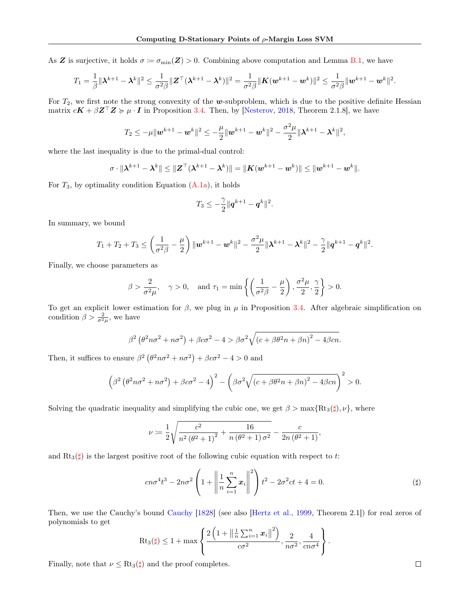As Z is surjective, it holds  $\sigma := \sigma_{\min}(\mathbf{Z}) > 0$ . Combining above computation and Lemma [B.1,](#page-11-3) we have

$$
T_1 = \frac{1}{\beta} \|\boldsymbol{\lambda}^{k+1} - \boldsymbol{\lambda}^k\|^2 \leq \frac{1}{\sigma^2 \beta} \|\boldsymbol{Z}^\top (\boldsymbol{\lambda}^{k+1} - \boldsymbol{\lambda}^k)\|^2 = \frac{1}{\sigma^2 \beta} \|\boldsymbol{K} (\boldsymbol{w}^{k+1} - \boldsymbol{w}^k)\|^2 \leq \frac{1}{\sigma^2 \beta} \|\boldsymbol{w}^{k+1} - \boldsymbol{w}^k\|^2.
$$

For  $T_2$ , we first note the strong convexity of the w-subproblem, which is due to the positive definite Hessian matrix  $c\mathbf{K} + \beta \mathbf{Z}^{\top} \mathbf{Z} \succcurlyeq \mu \cdot \mathbf{I}$  in Proposition [3.4.](#page-5-3) Then, by [\[Nesterov,](#page-10-10) [2018,](#page-10-10) Theorem 2.1.8], we have

$$
T_2 \leq -\mu \| \boldsymbol{w}^{k+1} - \boldsymbol{w}^k \|^2 \leq -\frac{\mu}{2} \| \boldsymbol{w}^{k+1} - \boldsymbol{w}^k \|^2 - \frac{\sigma^2 \mu}{2} \| \boldsymbol{\lambda}^{k+1} - \boldsymbol{\lambda}^k \|^2,
$$

where the last inequality is due to the primal-dual control:

$$
\sigma \cdot \|\boldsymbol{\lambda}^{k+1} - \boldsymbol{\lambda}^k\| \leq \|\boldsymbol{Z}^\top(\boldsymbol{\lambda}^{k+1} - \boldsymbol{\lambda}^k)\| = \|\boldsymbol{K}(\boldsymbol{w}^{k+1} - \boldsymbol{w}^k)\| \leq \|\boldsymbol{w}^{k+1} - \boldsymbol{w}^k\|.
$$

For  $T_3$ , by optimality condition Equation  $(A.1a)$ , it holds

$$
T_3\leq -\frac{\gamma}{2}\|{\boldsymbol{q}}^{k+1}-{\boldsymbol{q}}^k\|^2.
$$

In summary, we bound

$$
T_1+T_2+T_3\leq \left(\frac{1}{\sigma^2\beta}-\frac{\mu}{2}\right)\|\bm{w}^{k+1}-\bm{w}^{k}\|^2-\frac{\sigma^2\mu}{2}\|\bm{\lambda}^{k+1}-\bm{\lambda}^{k}\|^2-\frac{\gamma}{2}\|\bm{q}^{k+1}-\bm{q}^{k}\|^2.
$$

Finally, we choose parameters as

$$
\beta > \frac{2}{\sigma^2 \mu}
$$
,  $\gamma > 0$ , and  $\tau_1 = \min \left\{ \left( \frac{1}{\sigma^2 \beta} - \frac{\mu}{2} \right), \frac{\sigma^2 \mu}{2}, \frac{\gamma}{2} \right\} > 0$ .

To get an explicit lower estimation for  $\beta$ , we plug in  $\mu$  in Proposition [3.4.](#page-5-3) After algebraic simplification on condition  $\beta > \frac{2}{\sigma^2 \mu}$ , we have

$$
\beta^2 \left(\theta^2 n \sigma^2 + n \sigma^2\right) + \beta c \sigma^2 - 4 > \beta \sigma^2 \sqrt{\left(c + \beta \theta^2 n + \beta n\right)^2 - 4\beta c n}.
$$

Then, it suffices to ensure  $\beta^2 (\theta^2 n \sigma^2 + n \sigma^2) + \beta c \sigma^2 - 4 > 0$  and

$$
\left(\beta^2 \left(\theta^2 n \sigma^2 + n \sigma^2\right) + \beta c \sigma^2 - 4\right)^2 - \left(\beta \sigma^2 \sqrt{\left(c + \beta \theta^2 n + \beta n\right)^2 - 4\beta c n}\right)^2 > 0.
$$

Solving the quadratic inequality and simplifying the cubic one, we get  $\beta > \max\{Rt_3(\sharp), \nu\}$ , where

$$
\nu := \frac{1}{2} \sqrt{\frac{c^2}{n^2 (\theta^2 + 1)^2} + \frac{16}{n (\theta^2 + 1) \sigma^2}} - \frac{c}{2n (\theta^2 + 1)},
$$

and  $Rt_3(\sharp)$  is the largest positive root of the following cubic equation with respect to t:

<span id="page-13-0"></span>
$$
cn\sigma^4 t^3 - 2n\sigma^2 \left( 1 + \left\| \frac{1}{n} \sum_{i=1}^n x_i \right\|^2 \right) t^2 - 2\sigma^2 ct + 4 = 0. \tag{\sharp}
$$

Then, we use the Cauchy's bound [Cauchy](#page-9-23) [\[1828\]](#page-9-23) (see also [\[Hertz et al.,](#page-9-24) [1999,](#page-9-24) Theorem 2.1]) for real zeros of polynomials to get

$$
\mathrm{Rt}_3(\sharp) \leq 1 + \max \left\{ \frac{2\left(1 + \left\|\frac{1}{n}\sum_{i=1}^n x_i\right\|^2\right)}{c\sigma^2}, \frac{2}{n\sigma^2}, \frac{4}{cn\sigma^4} \right\}.
$$

Finally, note that  $\nu \leq Rt_3(\sharp)$  and the proof completes.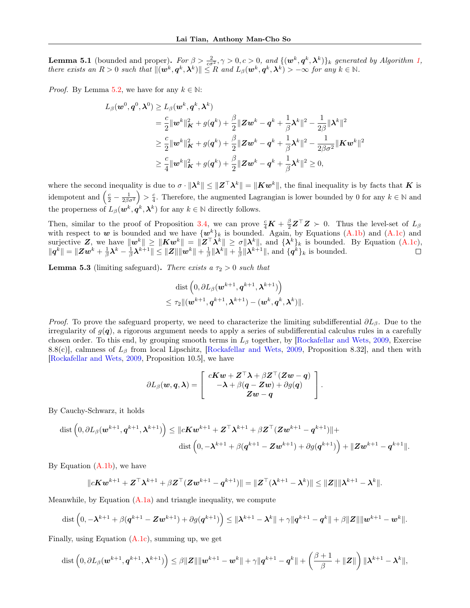**Lemma 5.1** (bounded and proper). For  $\beta > \frac{2}{c\sigma^2}$ ,  $\gamma > 0$ ,  $c > 0$ , and  $\{(\mathbf{w}^k, \mathbf{q}^k, \boldsymbol{\lambda}^k)\}_k$  generated by Algorithm [1,](#page-4-1) there exists an  $R > 0$  such that  $\|(\boldsymbol{w}^k, \boldsymbol{q}^k, \boldsymbol{\lambda}^k)\| \le R$  and  $L_\beta(\boldsymbol{w}^k, \boldsymbol{q}^k, \boldsymbol{\lambda}^k) > -\infty$  for any  $k \in \mathbb{N}$ .

*Proof.* By Lemma [5.2,](#page-6-3) we have for any  $k \in \mathbb{N}$ :

$$
L_{\beta}(\boldsymbol{w}^{0}, \boldsymbol{q}^{0}, \boldsymbol{\lambda}^{0}) \geq L_{\beta}(\boldsymbol{w}^{k}, \boldsymbol{q}^{k}, \boldsymbol{\lambda}^{k})
$$
  
\n
$$
= \frac{c}{2} \|\boldsymbol{w}^{k}\|_{\boldsymbol{K}}^{2} + g(\boldsymbol{q}^{k}) + \frac{\beta}{2} \|\boldsymbol{Z}\boldsymbol{w}^{k} - \boldsymbol{q}^{k} + \frac{1}{\beta} \boldsymbol{\lambda}^{k}\|^{2} - \frac{1}{2\beta} \|\boldsymbol{\lambda}^{k}\|^{2}
$$
  
\n
$$
\geq \frac{c}{2} \|\boldsymbol{w}^{k}\|_{\boldsymbol{K}}^{2} + g(\boldsymbol{q}^{k}) + \frac{\beta}{2} \|\boldsymbol{Z}\boldsymbol{w}^{k} - \boldsymbol{q}^{k} + \frac{1}{\beta} \boldsymbol{\lambda}^{k}\|^{2} - \frac{1}{2\beta\sigma^{2}} \|\boldsymbol{K}\boldsymbol{w}^{k}\|^{2}
$$
  
\n
$$
\geq \frac{c}{4} \|\boldsymbol{w}^{k}\|_{\boldsymbol{K}}^{2} + g(\boldsymbol{q}^{k}) + \frac{\beta}{2} \|\boldsymbol{Z}\boldsymbol{w}^{k} - \boldsymbol{q}^{k} + \frac{1}{\beta} \boldsymbol{\lambda}^{k}\|^{2} \geq 0,
$$

where the second inequality is due to  $\sigma \cdot ||\lambda^k|| \leq ||Z^\top \lambda^k|| = ||Kw^k||$ , the final inequality is by facts that K is idempotent and  $\left(\frac{c}{2} - \frac{1}{2\beta\sigma^2}\right) > \frac{c}{4}$ . Therefore, the augmented Lagrangian is lower bounded by 0 for any  $k \in \mathbb{N}$  and the properness of  $L_{\beta}(\boldsymbol{w}^k, \boldsymbol{q}^k, \boldsymbol{\lambda}^k)$  for any  $k \in \mathbb{N}$  directly follows.

Then, similar to the proof of Proposition [3.4,](#page-5-3) we can prove  $\frac{c}{4}\mathbf{K} + \frac{\beta}{2}\mathbf{Z}^{\top}\mathbf{Z} \succ 0$ . Thus the level-set of  $L_{\beta}$ with respect to w is bounded and we have  $\{w^k\}_k$  is bounded. Again, by Equations [\(A.1b\)](#page-11-2) and [\(A.1c\)](#page-11-1) and surjective Z, we have  $\|\boldsymbol{w}^k\| \geq \|\boldsymbol{K}\boldsymbol{w}^k\| = \|\boldsymbol{Z}^\top \boldsymbol{\lambda}^k\| \geq \sigma \|\boldsymbol{\lambda}^k\|$ , and  $\{\boldsymbol{\lambda}^k\}_k$  is bounded. By Equation [\(A.1c\)](#page-11-1),  $||q^k|| = ||Zw^k + \frac{1}{\beta}\lambda^k - \frac{1}{\beta}\lambda^{k+1}|| \leq ||Z|| ||w^k|| + \frac{1}{\beta}||\lambda^k|| + \frac{1}{\beta}||\lambda^{k+1}||$ , and  $\{q^k\}_k$  is bounded.

**Lemma 5.3** (limiting safeguard). There exists a  $\tau_2 > 0$  such that

$$
\begin{aligned} &\text{dist}\left({0}, \partial L_{\beta}(\boldsymbol{w}^{k+1}, \boldsymbol{q}^{k+1}, \boldsymbol{\lambda}^{k+1})\right) \\ &\leq \tau_2 \|(\boldsymbol{w}^{k+1}, \boldsymbol{q}^{k+1}, \boldsymbol{\lambda}^{k+1}) - (\boldsymbol{w}^{k}, \boldsymbol{q}^{k}, \boldsymbol{\lambda}^{k})\|. \end{aligned}
$$

*Proof.* To prove the safeguard property, we need to characterize the limiting subdifferential  $\partial L_{\beta}$ . Due to the irregularity of  $g(q)$ , a rigorous argument needs to apply a series of subdifferential calculus rules in a carefully chosen order. To this end, by grouping smooth terms in  $L_\beta$  together, by [\[Rockafellar and Wets,](#page-10-0) [2009,](#page-10-0) Exercise 8.8(c)], calmness of  $L_\beta$  from local Lipschitz, [\[Rockafellar and Wets,](#page-10-0) [2009,](#page-10-0) Proposition 8.32], and then with [\[Rockafellar and Wets,](#page-10-0) [2009,](#page-10-0) Proposition 10.5], we have

$$
\partial L_{\beta}(\boldsymbol{w},\boldsymbol{q},\boldsymbol{\lambda})=\left[\begin{array}{c}c\boldsymbol{K}\boldsymbol{w}+\boldsymbol{Z}^{\top}\boldsymbol{\lambda}+\beta\boldsymbol{Z}^{\top}(\boldsymbol{Z}\boldsymbol{w}-\boldsymbol{q})\\-\boldsymbol{\lambda}+\beta(\boldsymbol{q}-\boldsymbol{Z}\boldsymbol{w})+\partial g(\boldsymbol{q})\\ \boldsymbol{Z}\boldsymbol{w}-\boldsymbol{q}\end{array}\right].
$$

By Cauchy-Schwarz, it holds

$$
\begin{aligned} \text{dist}\left(0,\partial L_{\beta}(\bm{w}^{k+1},\bm{q}^{k+1},\bm{\lambda}^{k+1})\right) &\leq \|c\bm{K}\bm{w}^{k+1}+\bm{Z}^{\top}\bm{\lambda}^{k+1}+\beta\bm{Z}^{\top}(\bm{Z}\bm{w}^{k+1}-\bm{q}^{k+1})\|+\\ &\text{dist}\left(0,-\bm{\lambda}^{k+1}+\beta(\bm{q}^{k+1}-\bm{Z}\bm{w}^{k+1})+\partial g(\bm{q}^{k+1})\right)+\|\bm{Z}\bm{w}^{k+1}-\bm{q}^{k+1}\|. \end{aligned}
$$

By Equation  $(A.1b)$ , we have

$$
||cKw^{k+1} + Z^{\top}\lambda^{k+1} + \beta Z^{\top}(Zw^{k+1} - q^{k+1})|| = ||Z^{\top}(\lambda^{k+1} - \lambda^{k})|| \leq ||Z|| ||\lambda^{k+1} - \lambda^{k}||.
$$

Meanwhile, by Equation  $(A, 1a)$  and triangle inequality, we compute

$$
\text{dist}\left(0, -\lambda^{k+1} + \beta(q^{k+1} - \mathbf{Z}\mathbf{w}^{k+1}) + \partial g(q^{k+1})\right) \leq \|\lambda^{k+1} - \lambda^k\| + \gamma\|q^{k+1} - q^k\| + \beta\|\mathbf{Z}\|\|\mathbf{w}^{k+1} - \mathbf{w}^k\|.
$$

Finally, using Equation  $(A.1c)$ , summing up, we get

$$
\text{dist}\left(0,\partial L_{\beta}(\boldsymbol{w}^{k+1},\boldsymbol{q}^{k+1},\boldsymbol{\lambda}^{k+1})\right)\leq \beta\|\boldsymbol{Z}\|\|\boldsymbol{w}^{k+1}-\boldsymbol{w}^{k}\|+\gamma\|\boldsymbol{q}^{k+1}-\boldsymbol{q}^{k}\|+\left(\frac{\beta+1}{\beta}+\|\boldsymbol{Z}\|\right)\|\boldsymbol{\lambda}^{k+1}-\boldsymbol{\lambda}^{k}\|,
$$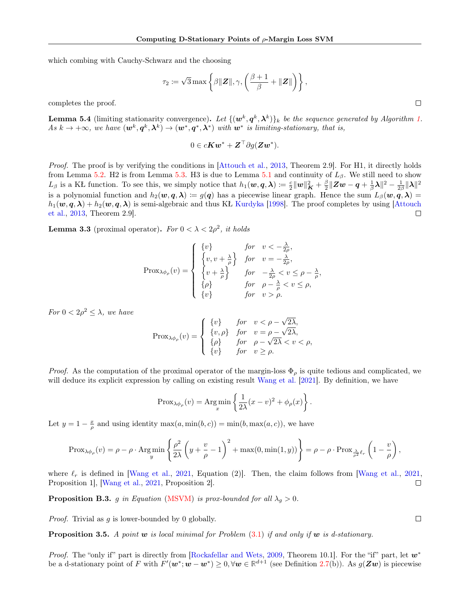which combing with Cauchy-Schwarz and the choosing

$$
\tau_2 \coloneqq \sqrt{3} \max \left\{ \beta ||\mathbf{Z}||, \gamma, \left( \frac{\beta+1}{\beta} + ||\mathbf{Z}|| \right) \right\},\
$$

completes the proof.

**Lemma 5.4** (limiting stationarity convergence). Let  $\{(\mathbf{w}^k, \mathbf{q}^k, \boldsymbol{\lambda}^k)\}_k$  be the sequence generated by Algorithm [1.](#page-4-1) As  $k \to +\infty$ , we have  $(\mathbf{w}^k, \mathbf{q}^k, \boldsymbol{\lambda}^k) \to (\mathbf{w}^*, \mathbf{q}^*, \boldsymbol{\lambda}^*)$  with  $\mathbf{w}^*$  is limiting-stationary, that is,

$$
0 \in cKw^* + \mathbf{Z}^\top \partial g(\mathbf{Z}w^*).
$$

Proof. The proof is by verifying the conditions in [\[Attouch et al.,](#page-9-22) [2013,](#page-9-22) Theorem 2.9]. For H1, it directly holds from Lemma [5.2.](#page-6-3) H2 is from Lemma [5.3.](#page-7-1) H3 is due to Lemma [5.1](#page-6-4) and continuity of  $L_{\beta}$ . We still need to show  $L_{\beta}$  is a KŁ function. To see this, we simply notice that  $h_1(w, q, \lambda) \coloneqq \frac{c}{2} ||w||^2 + \frac{\beta}{2} ||Zw - q + \frac{1}{\beta}\lambda||^2 - \frac{1}{2\beta} ||\lambda||^2$ is a polynomial function and  $h_2(\mathbf{w}, \mathbf{q}, \boldsymbol{\lambda}) := g(\mathbf{q})$  has a piecewise linear graph. Hence the sum  $L_\beta(\mathbf{w}, \mathbf{q}, \boldsymbol{\lambda}) =$  $h_1(\mathbf{w}, \mathbf{q}, \boldsymbol{\lambda}) + h_2(\mathbf{w}, \mathbf{q}, \boldsymbol{\lambda})$  is semi-algebraic and thus KŁ [Kurdyka](#page-9-25) [\[1998\]](#page-9-25). The proof completes by using [\[Attouch](#page-9-22) [et al.,](#page-9-22) [2013,](#page-9-22) Theorem 2.9].  $\Box$ 

**Lemma 3.3** (proximal operator). For  $0 < \lambda < 2\rho^2$ , it holds

$$
\text{Prox}_{\lambda\phi_{\rho}}(v) = \begin{cases} \n\{v\} & \text{for} \quad v < -\frac{\lambda}{2\rho}, \\ \n\{v, v + \frac{\lambda}{\rho}\} & \text{for} \quad v = -\frac{\lambda}{2\rho}, \\ \n\{v + \frac{\lambda}{\rho}\} & \text{for} \quad -\frac{\lambda}{2\rho} < v \le \rho - \frac{\lambda}{\rho}, \\ \n\{\rho\} & \text{for} \quad \rho - \frac{\lambda}{\rho} < v \le \rho, \\ \n\{v\} & \text{for} \quad v > \rho. \n\end{cases}
$$

For  $0 < 2\rho^2 \leq \lambda$ , we have

$$
\text{Prox}_{\lambda\phi_{\rho}}(v) = \begin{cases} \n\{v\} & \text{for} \quad v < \rho - \sqrt{2\lambda}, \\ \n\{v, \rho\} & \text{for} \quad v = \rho - \sqrt{2\lambda}, \\ \n\{\rho\} & \text{for} \quad \rho - \sqrt{2\lambda} < v < \rho, \\ \n\{v\} & \text{for} \quad v \ge \rho. \n\end{cases}
$$

*Proof.* As the computation of the proximal operator of the margin-loss  $\Phi_{\rho}$  is quite tedious and complicated, we will deduce its explicit expression by calling on existing result [Wang et al.](#page-10-1) [\[2021\]](#page-10-1). By definition, we have

$$
\text{Prox}_{\lambda\phi_{\rho}}(v) = \text{Arg}\min_{x} \left\{ \frac{1}{2\lambda}(x-v)^2 + \phi_{\rho}(x) \right\}.
$$

Let  $y = 1 - \frac{x}{\rho}$  and using identity  $\max(a, \min(b, c)) = \min(b, \max(a, c))$ , we have

$$
\text{Prox}_{\lambda\phi_{\rho}}(v) = \rho - \rho \cdot \text{Arg}\min_{y} \left\{ \frac{\rho^2}{2\lambda} \left( y + \frac{v}{\rho} - 1 \right)^2 + \max(0, \min(1, y)) \right\} = \rho - \rho \cdot \text{Prox}_{\frac{\lambda}{\rho^2} \ell_r} \left( 1 - \frac{v}{\rho} \right),
$$

where  $\ell_r$  is defined in [\[Wang et al.,](#page-10-1) [2021,](#page-10-1) Equation (2)]. Then, the claim follows from [Wang et al., 2021, Proposition 1], [\[Wang et al.,](#page-10-1) [2021,](#page-10-1) Proposition 2].  $\Box$ 

<span id="page-15-0"></span>**Proposition B.3.** g in Equation [\(MSVM\)](#page-4-2) is prox-bounded for all  $\lambda_g > 0$ .

*Proof.* Trivial as  $q$  is lower-bounded by 0 globally.

**Proposition 3.5.** A point w is local minimal for Problem  $(3.1)$  if and only if w is d-stationary.

*Proof.* The "only if" part is directly from [\[Rockafellar and Wets,](#page-10-0) [2009,](#page-10-0) Theorem 10.1]. For the "if" part, let  $w^*$ be a d-stationary point of F with  $F'(\mathbf{w}^*; \mathbf{w} - \mathbf{w}^*) \geq 0, \forall \mathbf{w} \in \mathbb{R}^{d+1}$  (see Definition [2.7\(](#page-3-0)b)). As  $g(\mathbf{Z}\mathbf{w})$  is piecewise

 $\Box$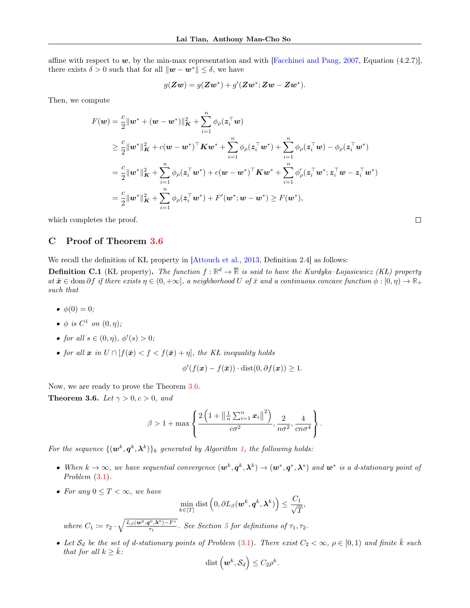affine with respect to  $w$ , by the min-max representation and with [\[Facchinei and Pang,](#page-9-26) [2007,](#page-9-26) Equation (4.2.7)], there exists  $\delta > 0$  such that for all  $\|\boldsymbol{w} - \boldsymbol{w}^*\| \leq \delta$ , we have

$$
g(\mathbf{Z}\boldsymbol{w})=g(\mathbf{Z}\boldsymbol{w}^*)+g'(\mathbf{Z}\boldsymbol{w}^*;\mathbf{Z}\boldsymbol{w}-\mathbf{Z}\boldsymbol{w}^*).
$$

Then, we compute

$$
F(\mathbf{w}) = \frac{c}{2} ||\mathbf{w}^* + (\mathbf{w} - \mathbf{w}^*)||_{\mathbf{K}}^2 + \sum_{i=1}^n \phi_\rho(\mathbf{z}_i^\top \mathbf{w})
$$
  
\n
$$
\geq \frac{c}{2} ||\mathbf{w}^*||_{\mathbf{K}}^2 + c(\mathbf{w} - \mathbf{w}^*)^\top \mathbf{K} \mathbf{w}^* + \sum_{i=1}^n \phi_\rho(\mathbf{z}_i^\top \mathbf{w}^*) + \sum_{i=1}^n \phi_\rho(\mathbf{z}_i^\top \mathbf{w}) - \phi_\rho(\mathbf{z}_i^\top \mathbf{w}^*)
$$
  
\n
$$
= \frac{c}{2} ||\mathbf{w}^*||_{\mathbf{K}}^2 + \sum_{i=1}^n \phi_\rho(\mathbf{z}_i^\top \mathbf{w}^*) + c(\mathbf{w} - \mathbf{w}^*)^\top \mathbf{K} \mathbf{w}^* + \sum_{i=1}^n \phi_\rho'(\mathbf{z}_i^\top \mathbf{w}^*; \mathbf{z}_i^\top \mathbf{w} - \mathbf{z}_i^\top \mathbf{w}^*)
$$
  
\n
$$
= \frac{c}{2} ||\mathbf{w}^*||_{\mathbf{K}}^2 + \sum_{i=1}^n \phi_\rho(\mathbf{z}_i^\top \mathbf{w}^*) + F'(\mathbf{w}^*; \mathbf{w} - \mathbf{w}^*) \geq F(\mathbf{w}^*),
$$

 $\Box$ 

which completes the proof.

# <span id="page-16-0"></span>C Proof of Theorem [3.6](#page-5-2)

We recall the definition of KŁ property in [\[Attouch et al.,](#page-9-22) [2013,](#page-9-22) Definition 2.4] as follows:

<span id="page-16-1"></span>**Definition C.1** (KL property). The function  $f : \mathbb{R}^d \to \overline{\mathbb{R}}$  is said to have the Kurdyka–Łojasiewicz (KL) property  $at \bar{x} \in \text{dom } \partial f$  if there exists  $\eta \in (0, +\infty]$ , a neighborhood U of  $\bar{x}$  and a continuous concave function  $\phi : [0, \eta) \to \mathbb{R}_+$ such that

- $\phi(0) = 0;$
- $\phi$  is  $C^1$  on  $(0, \eta)$ ;
- for all  $s \in (0, \eta)$ ,  $\phi'(s) > 0$ ;
- for all  $x$  in  $U \cap [f(\bar{x}) < f < f(\bar{x}) + \eta]$ , the KŁ inequality holds

$$
\phi'(f(\boldsymbol{x}) - f(\bar{\boldsymbol{x}})) \cdot \text{dist}(0, \partial f(\boldsymbol{x})) \ge 1.
$$

Now, we are ready to prove the Theorem [3.6.](#page-5-2)

Theorem 3.6. Let  $\gamma > 0, c > 0$ , and

$$
\beta > 1 + \max \left\{ \frac{2 \left( 1 + \left\| \frac{1}{n} \sum_{i=1}^{n} x_i \right\|^2 \right)}{c \sigma^2}, \frac{2}{n \sigma^2}, \frac{4}{cn \sigma^4} \right\}.
$$

For the sequence  $\{(\boldsymbol{w}^{k},\boldsymbol{q}^{k},\boldsymbol{\lambda}^{k})\}_{k}$  generated by Algorithm [1,](#page-4-1) the following holds:

- When  $k \to \infty$ , we have sequential convergence  $(\mathbf{w}^k, \mathbf{q}^k, \boldsymbol{\lambda}^k) \to (\mathbf{w}^*, \mathbf{q}^*, \boldsymbol{\lambda}^*)$  and  $\mathbf{w}^*$  is a d-stationary point of Problem  $(3.1)$ .
- For any  $0 \leq T < \infty$ , we have

$$
\min_{k \in [T]} \text{dist}\left(0, \partial L_{\beta}(\boldsymbol{w}^{k}, \boldsymbol{q}^{k}, \boldsymbol{\lambda}^{k})\right) \leq \frac{C_{1}}{\sqrt{T}},
$$
  
where  $C_{1} := \tau_{2} \cdot \sqrt{\frac{L_{\beta}(\boldsymbol{w}^{0}, \boldsymbol{q}^{0}, \boldsymbol{\lambda}^{0}) - F^{*}}{\tau_{1}}}$ . See Section 5 for definitions of  $\tau_{1}, \tau_{2}$ .

• Let  $S_d$  be the set of d-stationary points of Problem [\(3.1\)](#page-3-1). There exist  $C_2 < \infty$ ,  $\rho \in [0,1)$  and finite  $\overline{k}$  such that for all  $k \geq \overline{k}$ :

$$
\mathrm{dist}\left(\boldsymbol{w}^k,\mathcal{S}_d\right)\leq C_2\rho^k.
$$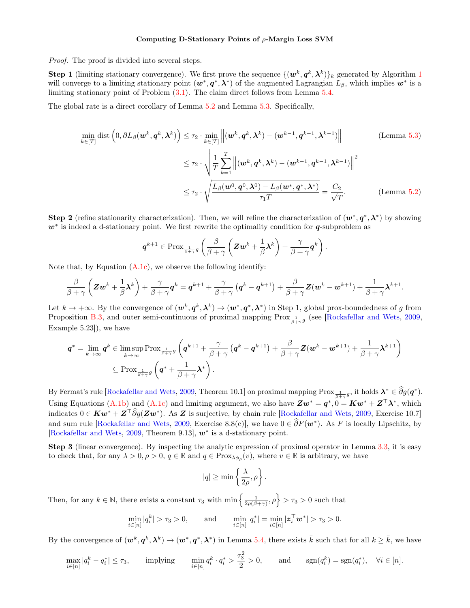Proof. The proof is divided into several steps.

**Step [1](#page-4-1)** (limiting stationary convergence). We first prove the sequence  $\{(\mathbf{w}^k, \mathbf{q}^k, \boldsymbol{\lambda}^k)\}_k$  generated by Algorithm 1 will converge to a limiting stationary point  $(w^*, q^*, \lambda^*)$  of the augmented Lagrangian  $L_\beta$ , which implies  $w^*$  is a limiting stationary point of Problem [\(3.1\)](#page-3-1). The claim direct follows from Lemma [5.4.](#page-7-2)

The global rate is a direct corollary of Lemma [5.2](#page-6-3) and Lemma [5.3.](#page-7-1) Specifically,

$$
\min_{k \in [T]} \text{dist}\left(0, \partial L_{\beta}(\boldsymbol{w}^{k}, \boldsymbol{q}^{k}, \boldsymbol{\lambda}^{k})\right) \leq \tau_{2} \cdot \min_{k \in [T]} \left\| (\boldsymbol{w}^{k}, \boldsymbol{q}^{k}, \boldsymbol{\lambda}^{k}) - (\boldsymbol{w}^{k-1}, \boldsymbol{q}^{k-1}, \boldsymbol{\lambda}^{k-1}) \right\|
$$
\n
$$
\leq \tau_{2} \cdot \sqrt{\frac{1}{T} \sum_{k=1}^{T} \left\| (\boldsymbol{w}^{k}, \boldsymbol{q}^{k}, \boldsymbol{\lambda}^{k}) - (\boldsymbol{w}^{k-1}, \boldsymbol{q}^{k-1}, \boldsymbol{\lambda}^{k-1}) \right\|^{2}}
$$
\n
$$
\leq \tau_{2} \cdot \sqrt{\frac{L_{\beta}(\boldsymbol{w}^{0}, \boldsymbol{q}^{0}, \boldsymbol{\lambda}^{0}) - L_{\beta}(\boldsymbol{w}^{*}, \boldsymbol{q}^{*}, \boldsymbol{\lambda}^{*})}{\tau_{1} T}} = \frac{C_{2}}{\sqrt{T}}.
$$
\n(Lemma 5.2)

**Step 2** (refine stationarity characterization). Then, we will refine the characterization of  $(w^*, q^*, \lambda^*)$  by showing  $w^*$  is indeed a d-stationary point. We first rewrite the optimality condition for  $q$ -subproblem as

$$
\boldsymbol{q}^{k+1} \in \text{Prox}_{\frac{1}{\beta+\gamma}g} \left( \frac{\beta}{\beta+\gamma} \left( \boldsymbol{Z} \boldsymbol{w}^k + \frac{1}{\beta} \boldsymbol{\lambda}^k \right) + \frac{\gamma}{\beta+\gamma} \boldsymbol{q}^k \right).
$$

Note that, by Equation [\(A.1c\)](#page-11-1), we observe the following identify:

$$
\frac{\beta}{\beta+\gamma}\left(\mathbf{Z}\mathbf{w}^{k}+\frac{1}{\beta}\boldsymbol{\lambda}^{k}\right)+\frac{\gamma}{\beta+\gamma}\mathbf{q}^{k}=\mathbf{q}^{k+1}+\frac{\gamma}{\beta+\gamma}\left(\mathbf{q}^{k}-\mathbf{q}^{k+1}\right)+\frac{\beta}{\beta+\gamma}\mathbf{Z}(\mathbf{w}^{k}-\mathbf{w}^{k+1})+\frac{1}{\beta+\gamma}\boldsymbol{\lambda}^{k+1}.
$$

Let  $k \to +\infty$ . By the convergence of  $(\mathbf{w}^k, \mathbf{q}^k, \boldsymbol{\lambda}^k) \to (\mathbf{w}^*, \mathbf{q}^*, \boldsymbol{\lambda}^*)$  in Step 1, global prox-boundedness of g from Proposition [B.3,](#page-15-0) and outer semi-continuous of proximal mapping  $Prox_{\frac{1}{\beta+\gamma}g}$  (see [\[Rockafellar and Wets,](#page-10-0) [2009,](#page-10-0) Example 5.23]), we have

$$
\boldsymbol{q}^* = \lim_{k \to \infty} \boldsymbol{q}^k \in \limsup_{k \to \infty} \text{Prox}_{\frac{1}{\beta + \gamma}g} \left( \boldsymbol{q}^{k+1} + \frac{\gamma}{\beta + \gamma} \left( \boldsymbol{q}^k - \boldsymbol{q}^{k+1} \right) + \frac{\beta}{\beta + \gamma} \boldsymbol{Z} (\boldsymbol{w}^k - \boldsymbol{w}^{k+1}) + \frac{1}{\beta + \gamma} \boldsymbol{\lambda}^{k+1} \right) \\ \subseteq \text{Prox}_{\frac{1}{\beta + \gamma}g} \left( \boldsymbol{q}^* + \frac{1}{\beta + \gamma} \boldsymbol{\lambda}^* \right).
$$

By Fermat's rule [\[Rockafellar and Wets,](#page-10-0) [2009,](#page-10-0) Theorem 10.1] on proximal mapping  $\text{Prox}_{\frac{1}{\beta+\gamma}g}$ , it holds  $\boldsymbol{\lambda}^* \in \widehat{\partial}g(\boldsymbol{q}^*)$ . Using Equations [\(A.1b\)](#page-11-2) and [\(A.1c\)](#page-11-1) and limiting argument, we also have  $\mathbf{Z}\mathbf{w}^* = \mathbf{q}^*, 0 = \mathbf{K}\mathbf{w}^* + \mathbf{Z}^\top \boldsymbol{\lambda}^*$ , which indicates  $0 \in \mathbf{K}w^* + \mathbf{Z}^\top \widehat{\partial}g(\mathbf{Z}w^*)$ . As  $\mathbf{Z}$  is surjective, by chain rule [\[Rockafellar and Wets,](#page-10-0) [2009,](#page-10-0) Exercise 10.7] and sum rule [\[Rockafellar and Wets,](#page-10-0) [2009,](#page-10-0) Exercise 8.8(c)], we have  $0 \in \hat{\partial}F(w^*)$ . As F is locally Lipschitz, by [\[Rockafellar and Wets,](#page-10-0) [2009,](#page-10-0) Theorem 9.13],  $w^*$  is a d-stationary point.

Step 3 (linear convergence). By inspecting the analytic expression of proximal operator in Lemma [3.3,](#page-4-3) it is easy to check that, for any  $\lambda > 0$ ,  $\rho > 0$ ,  $q \in \mathbb{R}$  and  $q \in \text{Prox}_{\lambda \phi_{\rho}}(v)$ , where  $v \in \mathbb{R}$  is arbitrary, we have

$$
|q| \ge \min\left\{\frac{\lambda}{2\rho}, \rho\right\}.
$$

Then, for any  $k \in \mathbb{N}$ , there exists a constant  $\tau_3$  with  $\min\left\{\frac{1}{2\rho(\beta+\gamma)}, \rho\right\} > \tau_3 > 0$  such that

$$
\min_{i \in [n]} |q_i^k| > \tau_3 > 0, \quad \text{and} \quad \min_{i \in [n]} |q_i^*| = \min_{i \in [n]} |\mathbf{z}_i^\top \mathbf{w}^*| > \tau_3 > 0.
$$

By the convergence of  $(\boldsymbol{w}^k, \boldsymbol{q}^k, \boldsymbol{\lambda}^k) \to (\boldsymbol{w}^*, \boldsymbol{q}^*, \boldsymbol{\lambda}^*)$  in Lemma [5.4,](#page-7-2) there exists  $\bar{k}$  such that for all  $k \geq \bar{k}$ , we have

$$
\max_{i \in [n]} |q_i^k - q_i^*| \le \tau_3, \quad \text{implying} \quad \min_{i \in [n]} q_i^k \cdot q_i^* > \frac{\tau_3^2}{2} > 0, \quad \text{and} \quad \text{sgn}(q_i^k) = \text{sgn}(q_i^*), \quad \forall i \in [n].
$$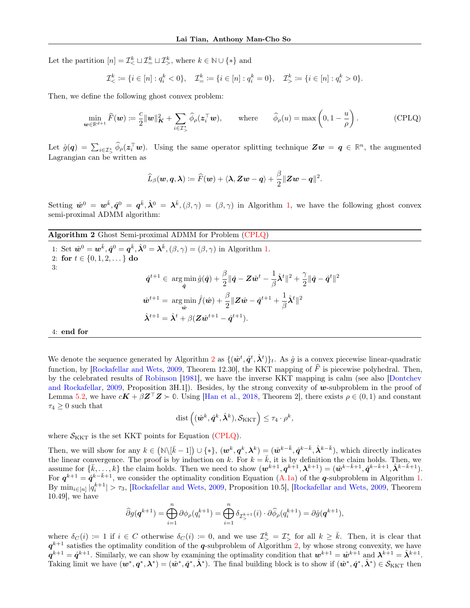Let the partition  $[n] = \mathcal{I}^k_< \sqcup \mathcal{I}^k_< \sqcup \mathcal{I}^k_<$ , where  $k \in \mathbb{N} \cup \{*\}$  and

$$
\mathcal{I}_{<}^k := \{ i \in [n] : q_i^k < 0 \}, \quad \mathcal{I}_{\!=}^k := \{ i \in [n] : q_i^k = 0 \}, \quad \mathcal{I}_{>}^k := \{ i \in [n] : q_i^k > 0 \}.
$$

Then, we define the following ghost convex problem:

$$
\min_{\boldsymbol{w}\in\mathbb{R}^{d+1}}\widehat{F}(\boldsymbol{w})\coloneqq\frac{c}{2}\|\boldsymbol{w}\|_{\boldsymbol{K}}^2+\sum_{i\in\mathcal{I}_{>}^*}\widehat{\phi}_{\rho}(\boldsymbol{z}_i^{\top}\boldsymbol{w}),\qquad\text{where}\qquad\widehat{\phi}_{\rho}(u)=\max\left(0,1-\frac{u}{\rho}\right). \tag{CPLQ}
$$

Let  $\hat{g}(\mathbf{q}) = \sum_{i \in \mathcal{I}^*} \widehat{\phi}_{\rho}(\mathbf{z}_i^{\top} \mathbf{w})$ . Using the same operator splitting technique  $\mathbf{Z}\mathbf{w} = \mathbf{q} \in \mathbb{R}^n$ , the augmented Lagrangian can be written as

<span id="page-18-0"></span>
$$
\widehat{L}_{\beta}(\boldsymbol{w},\boldsymbol{q},\boldsymbol{\lambda})\coloneqq\widehat{F}(\boldsymbol{w})+\langle\boldsymbol{\lambda},\boldsymbol{Z}\boldsymbol{w}-\boldsymbol{q}\rangle+\frac{\beta}{2}\|\boldsymbol{Z}\boldsymbol{w}-\boldsymbol{q}\|^2.
$$

Setting  $\hat{\mathbf{w}}^0 = \mathbf{w}^{\bar{k}}, \hat{\mathbf{q}}^0 = \mathbf{q}^{\bar{k}}, \hat{\lambda}^0 = \lambda^{\bar{k}}, (\beta, \gamma) = (\beta, \gamma)$  in Algorithm [1,](#page-4-1) we have the following ghost convex semi-proximal ADMM algorithm:

<span id="page-18-1"></span>Algorithm 2 Ghost Semi-proximal ADMM for Problem [\(CPLQ\)](#page-18-0)

1: Set 
$$
\hat{\mathbf{w}}^0 = \mathbf{w}^{\bar{k}}, \hat{\mathbf{q}}^0 = \mathbf{q}^{\bar{k}}, \hat{\lambda}^0 = \lambda^{\bar{k}}, (\beta, \gamma) = (\beta, \gamma)
$$
 in Algorithm 1.  
\n2: **for**  $t \in \{0, 1, 2, \ldots\}$  **do**  
\n3:  
\n
$$
\hat{\mathbf{q}}^{t+1} \in \argmin_{\hat{\mathbf{q}}} \hat{g}(\hat{\mathbf{q}}) + \frac{\beta}{2} || \hat{\mathbf{q}} - \mathbf{Z} \hat{\mathbf{w}}^t - \frac{1}{\beta} \hat{\lambda}^t ||^2 + \frac{\gamma}{2} || \hat{\mathbf{q}} - \hat{\mathbf{q}}^t ||^2
$$
\n
$$
\hat{\mathbf{w}}^{t+1} = \argmin_{\hat{\mathbf{w}}} \hat{f}(\hat{\mathbf{w}}) + \frac{\beta}{2} || \mathbf{Z} \hat{\mathbf{w}} - \hat{\mathbf{q}}^{t+1} + \frac{1}{\beta} \hat{\lambda}^t ||^2
$$
\n
$$
\hat{\lambda}^{t+1} = \hat{\lambda}^t + \beta (\mathbf{Z} \hat{\mathbf{w}}^{t+1} - \hat{\mathbf{q}}^{t+1}).
$$

4: end for

We denote the sequence generated by Algorithm [2](#page-18-1) as  $\{(\hat{\bm{w}}^t, \hat{\bm{q}}^t, \hat{\bm{\lambda}}^t)\}_t$ . As  $\hat{g}$  is a convex piecewise linear-quadratic function, by [\[Rockafellar and Wets,](#page-10-0) [2009,](#page-10-0) Theorem 12.30], the KKT mapping of  $\hat{F}$  is piecewise polyhedral. Then, by the celebrated results of [Robinson](#page-10-11) [\[1981\]](#page-10-11), we have the inverse KKT mapping is calm (see also [\[Dontchev](#page-9-19) [and Rockafellar,](#page-9-19) [2009,](#page-9-19) Proposition 3H.1]). Besides, by the strong convexity of w-subproblem in the proof of Lemma [5.2,](#page-6-3) we have  $c\mathbf{K} + \beta \mathbf{Z}^{\top} \mathbf{Z} \succ 0$ . Using [\[Han et al.,](#page-9-18) [2018,](#page-9-18) Theorem 2], there exists  $\rho \in (0,1)$  and constant  $\tau_4 \geq 0$  such that

$$
\text{dist}\left((\hat{\boldsymbol{w}}^k,\hat{\boldsymbol{q}}^k,\hat{\boldsymbol{\lambda}}^k),\mathcal{S}_{\text{KKT}}\right)\leq \tau_4\cdot \rho^k,
$$

where  $S_{\text{KKT}}$  is the set KKT points for Equation [\(CPLQ\)](#page-18-0).

Then, we will show for any  $k \in (\mathbb{N}\setminus[\bar{k}-1]) \cup \{*\}, (\mathbf{w}^k, \mathbf{q}^k, \boldsymbol{\lambda}^k) = (\hat{\mathbf{w}}^{k-\bar{k}}, \hat{\mathbf{q}}^{k-\bar{k}}, \hat{\boldsymbol{\lambda}}^{k-\bar{k}})$ , which directly indicates the linear convergence. The proof is by induction on k. For  $k = \overline{k}$ , it is by definition the claim holds. Then, we assume for  $\{\bar{k},\ldots,k\}$  the claim holds. Then we need to show  $(\boldsymbol{w}^{k+1},\boldsymbol{q}^{k+1},\boldsymbol{\lambda}^{k+1})=(\hat{\boldsymbol{w}}^{k-\bar{k}+1},\hat{\boldsymbol{q}}^{k-\bar{k}+1},\hat{\boldsymbol{\lambda}}^{k-\bar{k}+1})$ . For  $q^{k+1} = \hat{q}^{k-\bar{k}+1}$ , we consider the optimality condition Equation [\(A.1a\)](#page-11-4) of the q-subproblem in Algorithm [1.](#page-4-1) By  $\min_{i \in [n]} |q_i^{k+1}| > \tau_3$ , [\[Rockafellar and Wets,](#page-10-0) [2009,](#page-10-0) Proposition 10.5], [Rockafellar and Wets, 2009, Theorem 10.49], we have

$$
\widehat{\partial} g(\boldsymbol{q}^{k+1}) = \bigoplus_{i=1}^n \partial \phi_\rho(q_i^{k+1}) = \bigoplus_{i=1}^n \delta_{\mathcal{I}^{k+1}_>} (i) \cdot \partial \widehat{\phi}_\rho(q_i^{k+1}) = \partial \widehat{g}(\boldsymbol{q}^{k+1}),
$$

where  $\delta_C(i) := 1$  if  $i \in C$  otherwise  $\delta_C(i) := 0$ , and we use  $\mathcal{I}_{\gt}^k = \mathcal{I}_{\gt}^*$  for all  $k \geq \overline{k}$ . Then, it is clear that  $q^{k+1}$  satisfies the optimality condition of the q-subproblem of Algorithm [2,](#page-18-1) by whose strong convexity, we have  $\mathbf{q}^{k+1} = \hat{\mathbf{q}}^{k+1}$ . Similarly, we can show by examining the optimality condition that  $\mathbf{w}^{k+1} = \hat{\mathbf{w}}^{k+1}$  and  $\mathbf{\lambda}^{k+1} = \hat{\mathbf{\lambda}}^{k+1}$ . Taking limit we have  $(w^*, q^*, \lambda^*) = (\hat{w}^*, \hat{q}^*, \hat{\lambda}^*)$ . The final building block is to show if  $(\hat{w}^*, \hat{q}^*, \hat{\lambda}^*) \in \mathcal{S}_{\mathrm{KKT}}$  then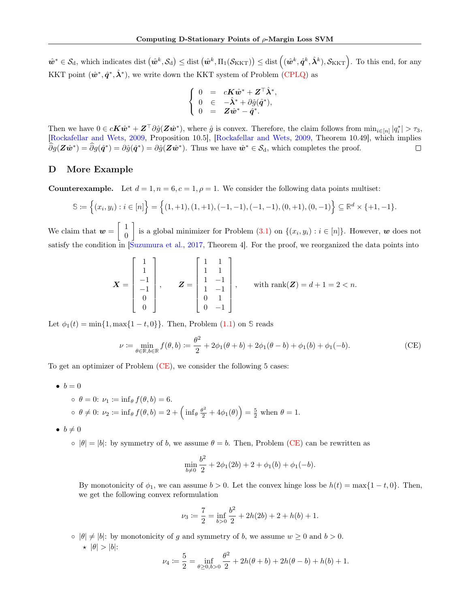$\hat{\mathbf{w}}^* \in \mathcal{S}_{\mathrm{d}}$ , which indicates dist  $(\hat{\mathbf{w}}^k, \mathcal{S}_{\mathrm{d}}) \leq \mathrm{dist}(\hat{\mathbf{w}}^k, \Pi_1(\mathcal{S}_{\mathrm{KKT}})) \leq \mathrm{dist}((\hat{\mathbf{w}}^k, \hat{\mathbf{q}}^k, \hat{\boldsymbol{\lambda}}^k), \mathcal{S}_{\mathrm{KKT}})$ . To this end, for any KKT point  $(\hat{\mathbf{w}}^*, \hat{\mathbf{q}}^*, \hat{\boldsymbol{\lambda}}^*)$ , we write down the KKT system of Problem [\(CPLQ\)](#page-18-0) as

$$
\left\{ \begin{array}{ccl} 0 &=& cK\hat w^* + Z^\top \hat \lambda^*, \\ 0 &\in& -\hat \lambda^* + \partial \hat g(\hat q^*), \\ 0 & = & Z\hat w^* - \hat q^*. \end{array} \right.
$$

Then we have  $0 \in c\mathbf{K}\hat{\boldsymbol{w}}^* + \mathbf{Z}^\top \partial \hat{g}(\mathbf{Z}\hat{\boldsymbol{w}}^*)$ , where  $\hat{g}$  is convex. Therefore, the claim follows from  $\min_{i \in [n]} |q_i^*| > \tau_3$ , [\[Rockafellar and Wets,](#page-10-0) [2009,](#page-10-0) Proposition 10.5], [\[Rockafellar and Wets,](#page-10-0) [2009,](#page-10-0) Theorem 10.49], which implies  $\widehat{\partial}g(\mathbf{Z}\hat{\boldsymbol{w}}^*) = \widehat{\partial}g(\hat{\boldsymbol{q}}^*) = \partial\hat{g}(\mathbf{Z}\hat{\boldsymbol{w}}^*)$ . Thus we have  $\hat{\boldsymbol{w}}^* \in \mathcal{S}_{d}$ , which completes the proof.  $\Box$ 

# <span id="page-19-0"></span>D More Example

**Counterexample.** Let  $d = 1, n = 6, c = 1, \rho = 1$ . We consider the following data points multiset:

$$
\mathbb{S} := \left\{ (x_i, y_i) : i \in [n] \right\} = \left\{ (1, +1), (1, +1), (-1, -1), (-1, -1), (0, +1), (0, -1) \right\} \subseteq \mathbb{R}^d \times \{+1, -1\}.
$$

We claim that  $w = \begin{bmatrix} 1 \\ 0 \end{bmatrix}$ 0 is a global minimizer for Problem  $(3.1)$  on  $\{(x_i, y_i) : i \in [n]\}.$  However, w does not satisfy the condition in [\[Suzumura et al.,](#page-10-4) [2017,](#page-10-4) Theorem 4]. For the proof, we reorganized the data points into

$$
\boldsymbol{X} = \begin{bmatrix} 1 \\ 1 \\ -1 \\ 0 \\ 0 \end{bmatrix}, \qquad \boldsymbol{Z} = \begin{bmatrix} 1 & 1 \\ 1 & 1 \\ 1 & -1 \\ 1 & -1 \\ 0 & 1 \\ 0 & -1 \end{bmatrix}, \qquad \text{with } \text{rank}(\boldsymbol{Z}) = d + 1 = 2 < n.
$$

Let  $\phi_1(t) = \min\{1, \max\{1 - t, 0\}\}\$ . Then, Problem  $(1.1)$  on  $\Im$  reads

$$
\nu := \min_{\theta \in \mathbb{R}, b \in \mathbb{R}} f(\theta, b) := \frac{\theta^2}{2} + 2\phi_1(\theta + b) + 2\phi_1(\theta - b) + \phi_1(b) + \phi_1(-b).
$$
 (CE)

To get an optimizer of Problem [\(CE\)](#page-19-1), we consider the following 5 cases:

$$
\bullet \;\; b=0
$$

\n- $$
\phi = 0
$$
:  $\nu_1 := \inf_{\theta} f(\theta, b) = 6$ .
\n- $\phi \neq 0$ :  $\nu_2 := \inf_{\theta} f(\theta, b) = 2 + \left( \inf_{\theta} \frac{\theta^2}{2} + 4\phi_1(\theta) \right) = \frac{5}{2}$  when  $\theta = 1$ .
\n

$$
\bullet \, b \neq 0
$$

 $\circ$   $|\theta| = |b|$ : by symmetry of b, we assume  $\theta = b$ . Then, Problem [\(CE\)](#page-19-1) can be rewritten as

<span id="page-19-1"></span>
$$
\min_{b \neq 0} \frac{b^2}{2} + 2\phi_1(2b) + 2 + \phi_1(b) + \phi_1(-b).
$$

By monotonicity of  $\phi_1$ , we can assume  $b > 0$ . Let the convex hinge loss be  $h(t) = \max\{1 - t, 0\}$ . Then, we get the following convex reformulation

$$
\nu_3 \coloneqq \frac{7}{2} = \inf_{b > 0} \frac{b^2}{2} + 2h(2b) + 2 + h(b) + 1.
$$

 $\circ$   $|\theta| \neq |b|$ : by monotonicity of g and symmetry of b, we assume  $w \geq 0$  and  $b > 0$ .  $\star$   $|\theta| > |b|$ :

$$
\nu_4 := \frac{5}{2} = \inf_{\theta \ge 0, b > 0} \frac{\theta^2}{2} + 2h(\theta + b) + 2h(\theta - b) + h(b) + 1.
$$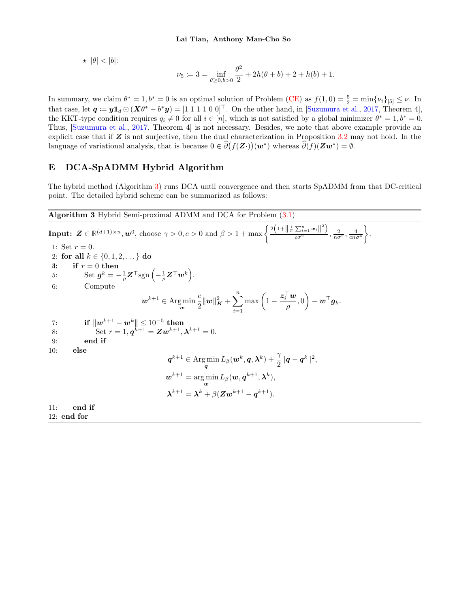$\star$   $|\theta|$  <  $|b|$ :

$$
\nu_5 := 3 = \inf_{\theta \ge 0, b > 0} \frac{\theta^2}{2} + 2h(\theta + b) + 2 + h(b) + 1.
$$

In summary, we claim  $\theta^* = 1, b^* = 0$  is an optimal solution of Problem [\(CE\)](#page-19-1) as  $f(1,0) = \frac{5}{2} = \min{\{\nu_i\}}_{[5]} \leq \nu$ . In that case, let  $q \coloneqq y \mathbb{1}_d \odot (X \theta^* - b^* y) = [1 \ 1 \ 1 \ 1 \ 0 \ 0]^\top$ . On the other hand, in [\[Suzumura et al.,](#page-10-4) [2017,](#page-10-4) Theorem 4], the KKT-type condition requires  $q_i \neq 0$  for all  $i \in [n]$ , which is not satisfied by a global minimizer  $\theta^* = 1, b^* = 0$ . Thus, [\[Suzumura et al.,](#page-10-4) [2017,](#page-10-4) Theorem 4] is not necessary. Besides, we note that above example provide an explicit case that if  $Z$  is not surjective, then the dual characterization in Proposition [3.2](#page-3-2) may not hold. In the language of variational analysis, that is because  $0 \in \hat{\partial}(f(\mathbf{Z} \cdot))(\mathbf{w}^*)$  whereas  $\hat{\partial}(f)(\mathbf{Z}\mathbf{w}^*) = \emptyset$ .

# <span id="page-20-1"></span>E DCA-SpADMM Hybrid Algorithm

The hybrid method (Algorithm [3\)](#page-20-0) runs DCA until convergence and then starts SpADMM from that DC-critical point. The detailed hybrid scheme can be summarized as follows:

<span id="page-20-0"></span>Algorithm 3 Hybrid Semi-proximal ADMM and DCA for Problem [\(3.1\)](#page-3-1)

**Input:**  $\mathbf{Z} \in \mathbb{R}^{(d+1)\times n}$ ,  $\mathbf{w}^0$ , choose  $\gamma > 0$ ,  $c > 0$  and  $\beta > 1 + \max\left\{\frac{2\left(1 + \left\|\frac{1}{n}\sum_{i=1}^n x_i\right\|^2\right)}{\alpha \sigma^2}\right\}$  $rac{\sum_{i=1}^{\infty} x_i}{\cos^2}$ ,  $rac{2}{n\sigma^2}, \frac{4}{c n\sigma^4}$  $\big\}$ . 1: Set  $r = 0$ . 2: for all  $k \in \{0, 1, 2, \dots\}$  do  $3: \quad \text{if } r = 0 \text{ then}$  $5: \hspace{1cm} \operatorname{Set} \, \boldsymbol{g}^k = - \frac{1}{\rho} \boldsymbol{Z}^\top \text{sgn} \left( - \frac{1}{\rho} \boldsymbol{Z}^\top \boldsymbol{w}^k \right).$ 6: Compute  $\boldsymbol{w}^{k+1} \in \operatorname*{Arg\,min}_{\boldsymbol{w}}$ c  $\frac{c}{2} ||w||^2_{K} + \sum_{n=1}^{\infty}$  $i=1$  $\max\left(1-\frac{\boldsymbol{z}_i^\top \boldsymbol{w}}{1-\boldsymbol{w}_i^\top\boldsymbol{w}_i}\right)$  $\left(\frac{\boldsymbol{w}}{\rho},0\right)-\boldsymbol{w}^\top \boldsymbol{g}_k.$ 7:  $\qquad \quad \textbf{if} \, \left\| \bm{w}^{k+1} - \bm{w}^{k} \right\| \leq 10^{-5} \, \textbf{then}$ 8: Set  $r = 1, \mathbf{q}^{k+1} = \mathbf{Z}\mathbf{w}^{k+1}, \mathbf{\lambda}^{k+1} = 0.$ 9: end if 10: else  $\boldsymbol{q}^{k+1} \in \argmin_{\boldsymbol{q}} L_\beta(\boldsymbol{w}^k, \boldsymbol{q}, \boldsymbol{\lambda}^k) + \frac{\gamma}{2}\|\boldsymbol{q} - \boldsymbol{q}^k\|^2,$  $\boldsymbol{w}^{k+1} = \argmin_{\boldsymbol{w}} L_\beta(\boldsymbol{w}, \boldsymbol{q}^{k+1}, \boldsymbol{\lambda}^k),$  $\boldsymbol{\lambda}^{k+1} = \boldsymbol{\lambda}^{k} + \beta (\boldsymbol{Z}\boldsymbol{w}^{k+1} - \boldsymbol{q}^{k+1}).$ 11: end if

12: end for